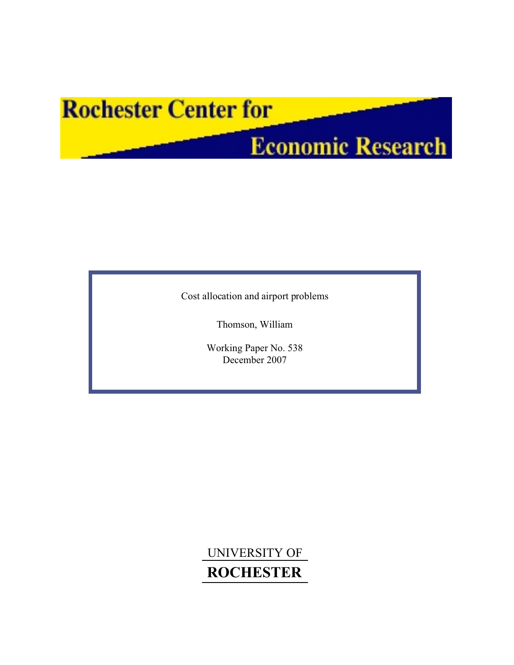# **Rochester Center for**

# **Economic Research**

Cost allocation and airport problems

Thomson, William

Working Paper No. 538 December 2007

UNIVERSITY OF **ROCHESTER**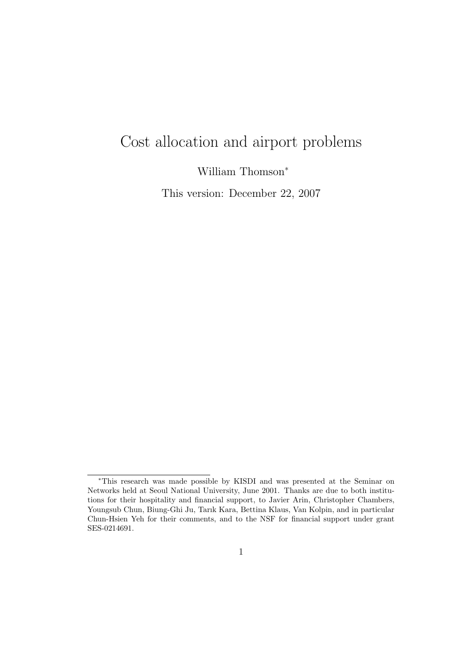## Cost allocation and airport problems

William Thomson<sup>∗</sup>

This version: December 22, 2007

<sup>∗</sup>This research was made possible by KISDI and was presented at the Seminar on Networks held at Seoul National University, June 2001. Thanks are due to both institutions for their hospitality and financial support, to Javier Arin, Christopher Chambers, Youngsub Chun, Biung-Ghi Ju, Tarık Kara, Bettina Klaus, Van Kolpin, and in particular Chun-Hsien Yeh for their comments, and to the NSF for financial support under grant SES-0214691.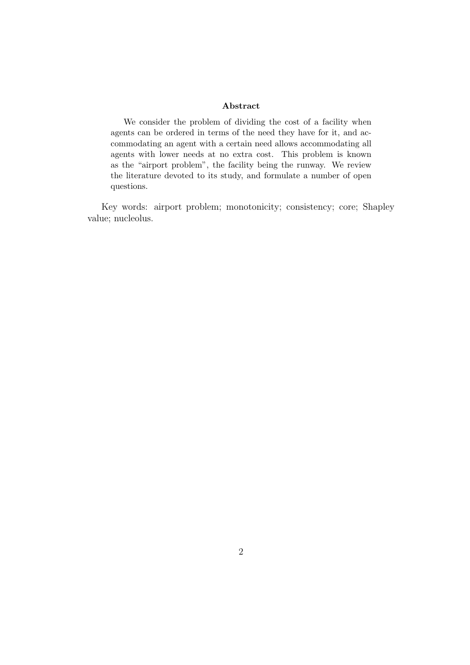#### Abstract

We consider the problem of dividing the cost of a facility when agents can be ordered in terms of the need they have for it, and accommodating an agent with a certain need allows accommodating all agents with lower needs at no extra cost. This problem is known as the "airport problem", the facility being the runway. We review the literature devoted to its study, and formulate a number of open questions.

Key words: airport problem; monotonicity; consistency; core; Shapley value; nucleolus.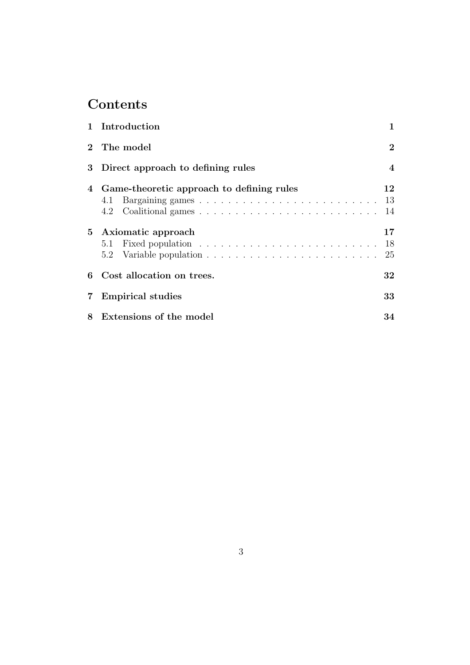## **Contents**

|   | 1 Introduction                                   | 1              |  |  |  |  |  |  |
|---|--------------------------------------------------|----------------|--|--|--|--|--|--|
|   | 2 The model                                      |                |  |  |  |  |  |  |
| 3 | Direct approach to defining rules                | $\overline{4}$ |  |  |  |  |  |  |
| 4 | Game-theoretic approach to defining rules<br>4.1 | 12<br>-13      |  |  |  |  |  |  |
|   | 4.2                                              | 14             |  |  |  |  |  |  |
|   | 5 Axiomatic approach                             | 17             |  |  |  |  |  |  |
|   |                                                  | - 18           |  |  |  |  |  |  |
|   | 5.2                                              | 25             |  |  |  |  |  |  |
| 6 | Cost allocation on trees.                        | 32             |  |  |  |  |  |  |
| 7 | <b>Empirical studies</b>                         |                |  |  |  |  |  |  |
| 8 | Extensions of the model<br>34                    |                |  |  |  |  |  |  |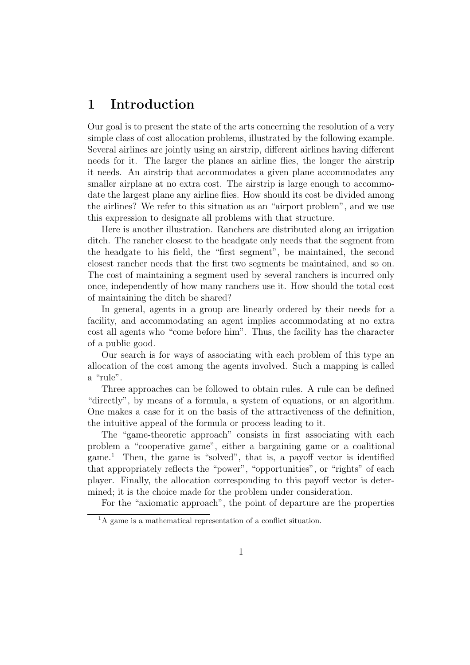## 1 Introduction

Our goal is to present the state of the arts concerning the resolution of a very simple class of cost allocation problems, illustrated by the following example. Several airlines are jointly using an airstrip, different airlines having different needs for it. The larger the planes an airline flies, the longer the airstrip it needs. An airstrip that accommodates a given plane accommodates any smaller airplane at no extra cost. The airstrip is large enough to accommodate the largest plane any airline flies. How should its cost be divided among the airlines? We refer to this situation as an "airport problem", and we use this expression to designate all problems with that structure.

Here is another illustration. Ranchers are distributed along an irrigation ditch. The rancher closest to the headgate only needs that the segment from the headgate to his field, the "first segment", be maintained, the second closest rancher needs that the first two segments be maintained, and so on. The cost of maintaining a segment used by several ranchers is incurred only once, independently of how many ranchers use it. How should the total cost of maintaining the ditch be shared?

In general, agents in a group are linearly ordered by their needs for a facility, and accommodating an agent implies accommodating at no extra cost all agents who "come before him". Thus, the facility has the character of a public good.

Our search is for ways of associating with each problem of this type an allocation of the cost among the agents involved. Such a mapping is called a "rule".

Three approaches can be followed to obtain rules. A rule can be defined "directly", by means of a formula, a system of equations, or an algorithm. One makes a case for it on the basis of the attractiveness of the definition, the intuitive appeal of the formula or process leading to it.

The "game-theoretic approach" consists in first associating with each problem a "cooperative game", either a bargaining game or a coalitional game.<sup>1</sup> Then, the game is "solved", that is, a payoff vector is identified that appropriately reflects the "power", "opportunities", or "rights" of each player. Finally, the allocation corresponding to this payoff vector is determined; it is the choice made for the problem under consideration.

For the "axiomatic approach", the point of departure are the properties

<sup>&</sup>lt;sup>1</sup>A game is a mathematical representation of a conflict situation.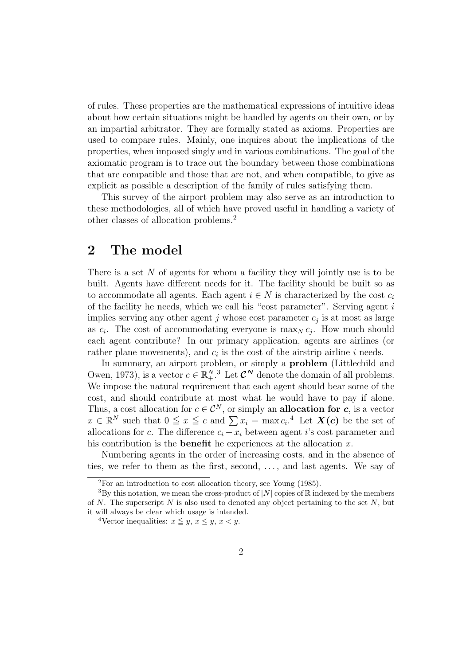of rules. These properties are the mathematical expressions of intuitive ideas about how certain situations might be handled by agents on their own, or by an impartial arbitrator. They are formally stated as axioms. Properties are used to compare rules. Mainly, one inquires about the implications of the properties, when imposed singly and in various combinations. The goal of the axiomatic program is to trace out the boundary between those combinations that are compatible and those that are not, and when compatible, to give as explicit as possible a description of the family of rules satisfying them.

This survey of the airport problem may also serve as an introduction to these methodologies, all of which have proved useful in handling a variety of other classes of allocation problems.<sup>2</sup>

## 2 The model

There is a set N of agents for whom a facility they will jointly use is to be built. Agents have different needs for it. The facility should be built so as to accommodate all agents. Each agent  $i \in N$  is characterized by the cost  $c_i$ of the facility he needs, which we call his "cost parameter". Serving agent  $i$ implies serving any other agent  $j$  whose cost parameter  $c_j$  is at most as large as  $c_i$ . The cost of accommodating everyone is  $\max_N c_j$ . How much should each agent contribute? In our primary application, agents are airlines (or rather plane movements), and  $c_i$  is the cost of the airstrip airline i needs.

In summary, an airport problem, or simply a problem (Littlechild and Owen, 1973), is a vector  $c \in \mathbb{R}^{N,3}_+$ . Let  $\mathcal{C}^N$  denote the domain of all problems. We impose the natural requirement that each agent should bear some of the cost, and should contribute at most what he would have to pay if alone. Thus, a cost allocation for  $c \in \mathcal{C}^N$ , or simply an **allocation for c**, is a vector Thus, a cost ahocation for  $c \in C$ , or simply an ahocation for c, is a vector  $x \in \mathbb{R}^N$  such that  $0 \le x \le c$  and  $\sum x_i = \max c_i$ .<sup>4</sup> Let  $X(c)$  be the set of allocations for c. The difference  $c_i - x_i$  between agent i's cost parameter and his contribution is the **benefit** he experiences at the allocation  $x$ .

Numbering agents in the order of increasing costs, and in the absence of ties, we refer to them as the first, second, . . . , and last agents. We say of

<sup>2</sup>For an introduction to cost allocation theory, see Young (1985).

<sup>&</sup>lt;sup>3</sup>By this notation, we mean the cross-product of |N| copies of  $\mathbb R$  indexed by the members of N. The superscript N is also used to denoted any object pertaining to the set  $N$ , but it will always be clear which usage is intended.

<sup>&</sup>lt;sup>4</sup>Vector inequalities:  $x \leq y, x \leq y, x < y$ .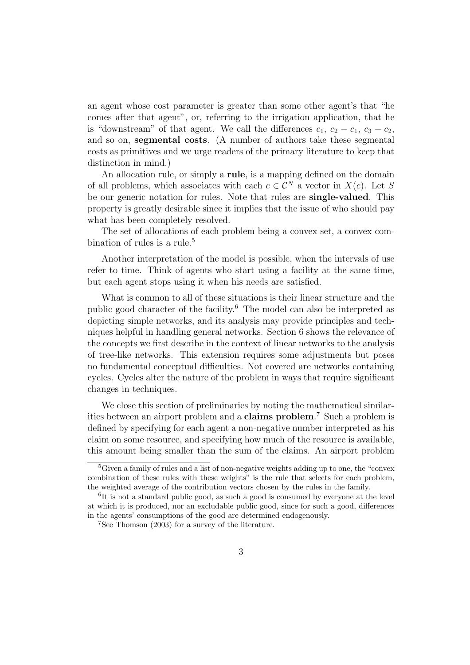an agent whose cost parameter is greater than some other agent's that "he comes after that agent", or, referring to the irrigation application, that he is "downstream" of that agent. We call the differences  $c_1, c_2 - c_1, c_3 - c_2$ , and so on, segmental costs. (A number of authors take these segmental costs as primitives and we urge readers of the primary literature to keep that distinction in mind.)

An allocation rule, or simply a rule, is a mapping defined on the domain of all problems, which associates with each  $c \in \mathcal{C}^N$  a vector in  $X(c)$ . Let S be our generic notation for rules. Note that rules are single-valued. This property is greatly desirable since it implies that the issue of who should pay what has been completely resolved.

The set of allocations of each problem being a convex set, a convex combination of rules is a rule.<sup>5</sup>

Another interpretation of the model is possible, when the intervals of use refer to time. Think of agents who start using a facility at the same time, but each agent stops using it when his needs are satisfied.

What is common to all of these situations is their linear structure and the public good character of the facility.<sup>6</sup> The model can also be interpreted as depicting simple networks, and its analysis may provide principles and techniques helpful in handling general networks. Section 6 shows the relevance of the concepts we first describe in the context of linear networks to the analysis of tree-like networks. This extension requires some adjustments but poses no fundamental conceptual difficulties. Not covered are networks containing cycles. Cycles alter the nature of the problem in ways that require significant changes in techniques.

We close this section of preliminaries by noting the mathematical similarities between an airport problem and a **claims problem**.<sup>7</sup> Such a problem is defined by specifying for each agent a non-negative number interpreted as his claim on some resource, and specifying how much of the resource is available, this amount being smaller than the sum of the claims. An airport problem

<sup>5</sup>Given a family of rules and a list of non-negative weights adding up to one, the "convex combination of these rules with these weights" is the rule that selects for each problem, the weighted average of the contribution vectors chosen by the rules in the family.

<sup>&</sup>lt;sup>6</sup>It is not a standard public good, as such a good is consumed by everyone at the level at which it is produced, nor an excludable public good, since for such a good, differences in the agents' consumptions of the good are determined endogenously.

<sup>7</sup>See Thomson (2003) for a survey of the literature.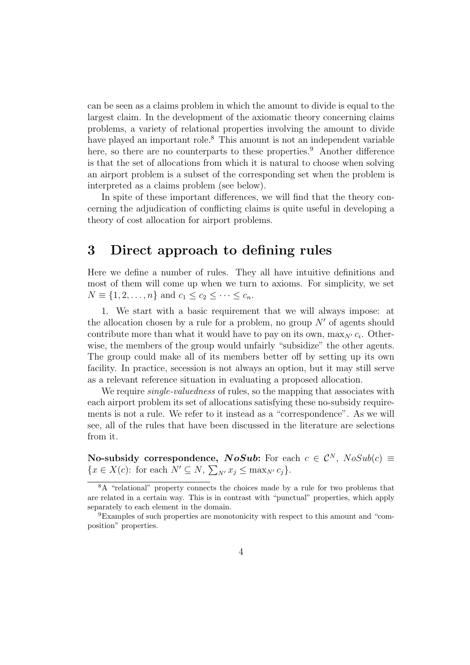can be seen as a claims problem in which the amount to divide is equal to the largest claim. In the development of the axiomatic theory concerning claims problems, a variety of relational properties involving the amount to divide have played an important role.<sup>8</sup> This amount is not an independent variable here, so there are no counterparts to these properties.<sup>9</sup> Another difference is that the set of allocations from which it is natural to choose when solving an airport problem is a subset of the corresponding set when the problem is interpreted as a claims problem (see below).

In spite of these important differences, we will find that the theory concerning the adjudication of conflicting claims is quite useful in developing a theory of cost allocation for airport problems.

## 3 Direct approach to defining rules

Here we define a number of rules. They all have intuitive definitions and most of them will come up when we turn to axioms. For simplicity, we set  $N \equiv \{1, 2, ..., n\}$  and  $c_1 \le c_2 \le \cdots \le c_n$ .

1. We start with a basic requirement that we will always impose: at the allocation chosen by a rule for a problem, no group  $N'$  of agents should contribute more than what it would have to pay on its own,  $\max_{N'} c_i$ . Otherwise, the members of the group would unfairly "subsidize" the other agents. The group could make all of its members better off by setting up its own facility. In practice, secession is not always an option, but it may still serve as a relevant reference situation in evaluating a proposed allocation.

We require *single-valuedness* of rules, so the mapping that associates with each airport problem its set of allocations satisfying these no-subsidy requirements is not a rule. We refer to it instead as a "correspondence". As we will see, all of the rules that have been discussed in the literature are selections from it.

No-subsidy correspondence, NoSub: For each  $c \in \mathcal{C}^N$ ,  $NoSub(c) \equiv$ **EXAMPLE EXECUTE:**<br>{ $x \in X(c)$ : for each  $N' \subseteq N$ ,  $\Sigma$  $_{N'} x_j \leq \max_{N'} c_j$ .

<sup>8</sup>A "relational" property connects the choices made by a rule for two problems that are related in a certain way. This is in contrast with "punctual" properties, which apply separately to each element in the domain.

<sup>9</sup>Examples of such properties are monotonicity with respect to this amount and "composition" properties.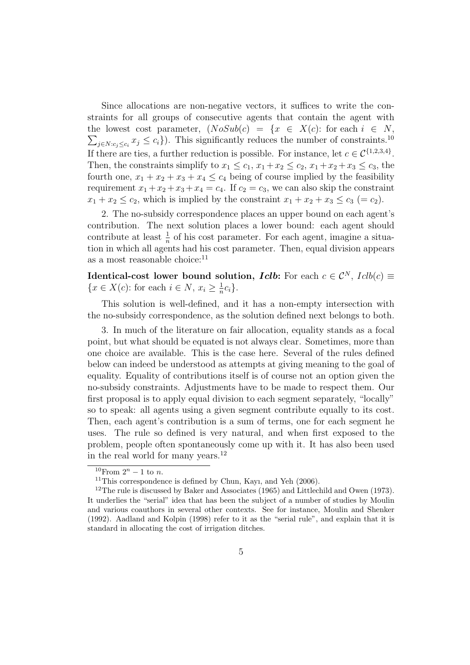Since allocations are non-negative vectors, it suffices to write the constraints for all groups of consecutive agents that contain the agent with the lowest cost parameter,  $(NoSub(c) = \{x \in X(c): \text{ for each } i \in N,$  $j \in N: c_j \leq c_i$ ;  $x_j \leq c_i$ ). This significantly reduces the number of constraints.<sup>10</sup> If there are ties, a further reduction is possible. For instance, let  $c \in C^{\{1,2,3,4\}}$ . Then, the constraints simplify to  $x_1 \leq c_1, x_1 + x_2 \leq c_2, x_1 + x_2 + x_3 \leq c_3$ , the fourth one,  $x_1 + x_2 + x_3 + x_4 \leq c_4$  being of course implied by the feasibility requirement  $x_1 + x_2 + x_3 + x_4 = c_4$ . If  $c_2 = c_3$ , we can also skip the constraint  $x_1 + x_2 \leq c_2$ , which is implied by the constraint  $x_1 + x_2 + x_3 \leq c_3$  (=  $c_2$ ).

2. The no-subsidy correspondence places an upper bound on each agent's contribution. The next solution places a lower bound: each agent should contribute at least  $\frac{1}{n}$  of his cost parameter. For each agent, imagine a situation in which all agents had his cost parameter. Then, equal division appears as a most reasonable choice: $11$ 

Identical-cost lower bound solution, *Iclb*: For each  $c \in \mathcal{C}^N$ ,  $Iclb(c) \equiv$  $\{x \in X(c): \text{for each } i \in N, x_i \geq \frac{1}{n}\}$  $\frac{1}{n}c_i$ .

This solution is well-defined, and it has a non-empty intersection with the no-subsidy correspondence, as the solution defined next belongs to both.

3. In much of the literature on fair allocation, equality stands as a focal point, but what should be equated is not always clear. Sometimes, more than one choice are available. This is the case here. Several of the rules defined below can indeed be understood as attempts at giving meaning to the goal of equality. Equality of contributions itself is of course not an option given the no-subsidy constraints. Adjustments have to be made to respect them. Our first proposal is to apply equal division to each segment separately, "locally" so to speak: all agents using a given segment contribute equally to its cost. Then, each agent's contribution is a sum of terms, one for each segment he uses. The rule so defined is very natural, and when first exposed to the problem, people often spontaneously come up with it. It has also been used in the real world for many years.<sup>12</sup>

 $10$ From  $2^n - 1$  to n.

<sup>&</sup>lt;sup>11</sup>This correspondence is defined by Chun, Kayı, and Yeh  $(2006)$ .

<sup>&</sup>lt;sup>12</sup>The rule is discussed by Baker and Associates (1965) and Littlechild and Owen (1973). It underlies the "serial" idea that has been the subject of a number of studies by Moulin and various coauthors in several other contexts. See for instance, Moulin and Shenker (1992). Aadland and Kolpin (1998) refer to it as the "serial rule", and explain that it is standard in allocating the cost of irrigation ditches.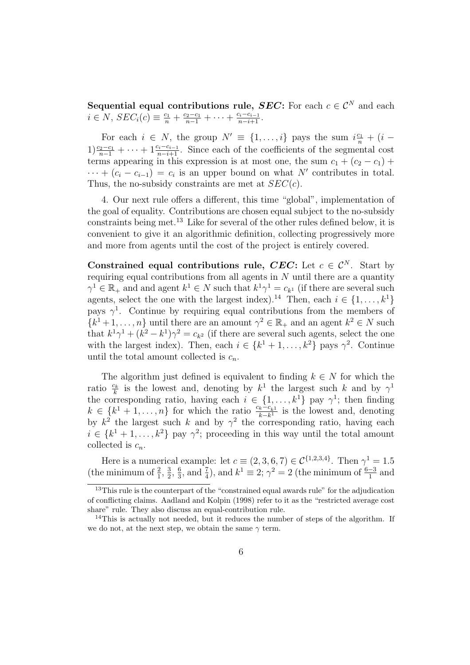Sequential equal contributions rule, SEC: For each  $c \in \mathcal{C}^N$  and each  $i \in N$ ,  $SEC_i(c) \equiv \frac{c_1}{n} + \frac{c_2-c_1}{n-1} + \cdots + \frac{c_i-c_{i-1}}{n-i+1}$ .

For each  $i \in N$ , the group  $N' \equiv \{1, \ldots, i\}$  pays the sum  $i \frac{c_1}{n} + (i 1) \frac{c_2-c_1}{n-1} + \cdots + 1 \frac{c_i-c_{i-1}}{n-i+1}$ . Since each of the coefficients of the segmental cost terms appearing in this expression is at most one, the sum  $c_1 + (c_2 - c_1) +$  $\cdots + (c_i - c_{i-1}) = c_i$  is an upper bound on what N' contributes in total. Thus, the no-subsidy constraints are met at  $SEC(c).$ 

4. Our next rule offers a different, this time "global", implementation of the goal of equality. Contributions are chosen equal subject to the no-subsidy constraints being met.<sup>13</sup> Like for several of the other rules defined below, it is convenient to give it an algorithmic definition, collecting progressively more and more from agents until the cost of the project is entirely covered.

Constrained equal contributions rule, CEC: Let  $c \in \mathcal{C}^N$ . Start by requiring equal contributions from all agents in  $N$  until there are a quantity  $\gamma^1 \in \mathbb{R}_+$  and and agent  $k^1 \in N$  such that  $k^1 \gamma^1 = c_{k^1}$  (if there are several such agents, select the one with the largest index).<sup>14</sup> Then, each  $i \in \{1, \ldots, k^1\}$ pays  $\gamma^1$ . Continue by requiring equal contributions from the members of  $\{k^1+1,\ldots,n\}$  until there are an amount  $\gamma^2 \in \mathbb{R}_+$  and an agent  $k^2 \in N$  such that  $k^1\gamma^1 + (k^2 - k^1)\gamma^2 = c_{k^2}$  (if there are several such agents, select the one with the largest index). Then, each  $i \in \{k^1 + 1, \ldots, k^2\}$  pays  $\gamma^2$ . Continue until the total amount collected is  $c_n$ .

The algorithm just defined is equivalent to finding  $k \in N$  for which the ratio  $\frac{c_k}{k}$  is the lowest and, denoting by  $k^1$  the largest such k and by  $\gamma^1$ the corresponding ratio, having each  $i \in \{1, \ldots, k^1\}$  pay  $\gamma^1$ ; then finding  $k \in \{k^1 + 1, \ldots, n\}$  for which the ratio  $\frac{c_k - c_{k1}}{k - k^1}$  is the lowest and, denoting by  $k^2$  the largest such k and by  $\gamma^2$  the corresponding ratio, having each  $i \in \{k^1 + 1, \ldots, k^2\}$  pay  $\gamma^2$ ; proceeding in this way until the total amount collected is  $c_n$ .

Here is a numerical example: let  $c \equiv (2,3,6,7) \in \mathcal{C}^{\{1,2,3,4\}}$ . Then  $\gamma^1 = 1.5$ (the minimum of  $\frac{2}{1}$ ,  $\frac{3}{2}$ )  $\frac{3}{2}$ ,  $\frac{6}{3}$  $\frac{6}{3}$ , and  $\frac{7}{4}$ ), and  $k^1 \equiv 2$ ;  $\gamma^2 = 2$  (the minimum of  $\frac{6-3}{1}$  and

<sup>&</sup>lt;sup>13</sup>This rule is the counterpart of the "constrained equal awards rule" for the adjudication of conflicting claims. Aadland and Kolpin (1998) refer to it as the "restricted average cost share" rule. They also discuss an equal-contribution rule.

 $14$ This is actually not needed, but it reduces the number of steps of the algorithm. If we do not, at the next step, we obtain the same  $\gamma$  term.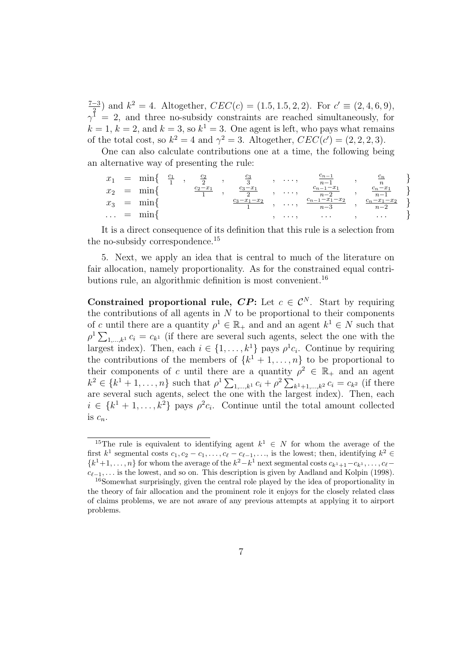$\frac{7-3}{2}$  and  $k^2 = 4$ . Altogether,  $CEC(c) = (1.5, 1.5, 2, 2)$ . For  $c' \equiv (2, 4, 6, 9)$ ,  $\gamma^{\frac{2}{1}} = 2$ , and three no-subsidy constraints are reached simultaneously, for  $k = 1, k = 2$ , and  $k = 3$ , so  $k^1 = 3$ . One agent is left, who pays what remains of the total cost, so  $k^2 = 4$  and  $\gamma^2 = 3$ . Altogether,  $CEC(c') = (2, 2, 2, 3)$ .

One can also calculate contributions one at a time, the following being an alternative way of presenting the rule:

| $x_1$                   |              | $=$ min{ | $\frac{c_1}{1}$ , | $rac{c_2}{2}$ | $_{c_3}$<br>$\Omega$ | $\cdots$  | $\scriptstyle{c_{n-1}}$<br>$n-1$ | $\scriptstyle{c_{n}}$<br>$\boldsymbol{n}$ |  |
|-------------------------|--------------|----------|-------------------|---------------|----------------------|-----------|----------------------------------|-------------------------------------------|--|
| $x_2$                   | $\alpha = 1$ | mın∤     |                   | $c_2 - x_1$   | $c_3-x_1$<br>റ       | $\ldots,$ | $c_{n-1}-x_1$<br>$n-2$           | $n-1$                                     |  |
| $x_3$                   |              | $=$ mink |                   |               | $c_3 - x_1 - x_2$    | $\ldots,$ | $c_{n-1} - x_1 - x_2$<br>$n - 3$ | $-x_1-x_2$<br>$n-2$                       |  |
| $\sim 100$ km s $^{-1}$ |              |          |                   |               |                      | $\cdots$  | $\cdots$                         | $\cdots$                                  |  |

It is a direct consequence of its definition that this rule is a selection from the no-subsidy correspondence.<sup>15</sup>

5. Next, we apply an idea that is central to much of the literature on fair allocation, namely proportionality. As for the constrained equal contributions rule, an algorithmic definition is most convenient.<sup>16</sup>

Constrained proportional rule,  $\mathbf{CP}$ : Let  $c \in \mathcal{C}^N$ . Start by requiring the contributions of all agents in  $N$  to be proportional to their components of c until there are a quantity  $\rho^1 \in \mathbb{R}_+$  and and an agent  $k^1 \in N$  such that or c until there are a quantity  $\rho \in \mathbb{R}_+$  and an agent  $\kappa \in N$  such that  $\rho^1 \sum_{1,\dots,k^1} c_i = c_{k^1}$  (if there are several such agents, select the one with the largest index). Then, each  $i \in \{1, ..., k^1\}$  pays  $\rho^1 c_i$ . Continue by requiring the contributions of the members of  $\{k^1 + 1, \ldots, n\}$  to be proportional to their components of c until there are a quantity  $\rho^2 \in \mathbb{R}_+$  and an agent their components of c until there are a quantity  $\rho \in \mathbb{R}_+$  and an agent  $k^2 \in \{k^1 + 1, ..., n\}$  such that  $\rho^1 \sum_{1,...,k^1} c_i + \rho^2 \sum_{k^1 + 1,...,k^2} c_i = c_{k^2}$  (if there are several such agents, select the one with the largest index). Then, each  $i \in \{k^1 + 1, \ldots, k^2\}$  pays  $\rho^2 c_i$ . Continue until the total amount collected is  $c_n$ .

<sup>&</sup>lt;sup>15</sup>The rule is equivalent to identifying agent  $k^1 \in N$  for whom the average of the first  $k^1$  segmental costs  $c_1, c_2 - c_1, \ldots, c_\ell - c_{\ell-1}, \ldots$ , is the lowest; then, identifying  $k^2 \in$  ${k<sup>1</sup>+1,...,n}$  for whom the average of the  $k<sup>2</sup>-k<sup>1</sup>$  next segmental costs  $c_{k<sup>1</sup>+1}-c_{k<sup>1</sup>},...,c_{\ell}-c_{k<sup>2</sup>}$  $c_{\ell-1}, \ldots$  is the lowest, and so on. This description is given by Aadland and Kolpin (1998).

<sup>16</sup>Somewhat surprisingly, given the central role played by the idea of proportionality in the theory of fair allocation and the prominent role it enjoys for the closely related class of claims problems, we are not aware of any previous attempts at applying it to airport problems.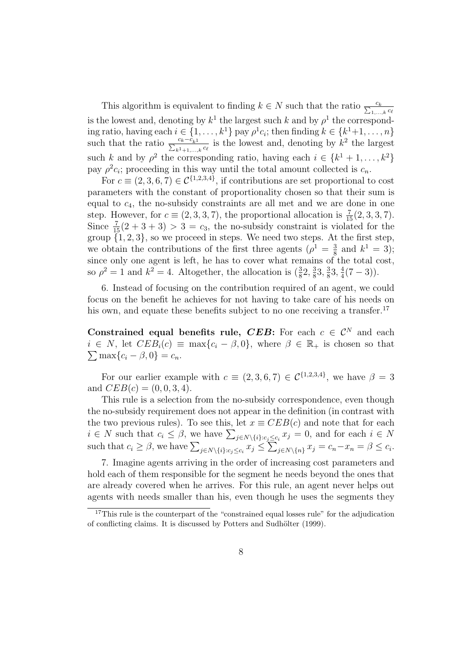This algorithm is equivalent to finding  $k \in N$  such that the ratio  $\frac{c_k}{\sum_{1,\dots,k} c_\ell}$ is the lowest and, denoting by  $k^1$  the largest such k and by  $\rho^1$  the corresponding ratio, having each  $i \in \{1, ..., k^1\}$  pay  $\rho^1 c_i$ ; then finding  $k \in \{k^1+1, ..., n\}$ such that the ratio  $\frac{c_k-\tilde{c}_{k1}}{\sum_{k=1+1,\dots,k}c_\ell}$  is the lowest and, denoting by  $k^2$  the largest such k and by  $\rho^2$  the corresponding ratio, having each  $i \in \{k^1 + 1, \ldots, k^2\}$ pay  $\rho^2 c_i$ ; proceeding in this way until the total amount collected is  $c_n$ .

For  $c \equiv (2, 3, 6, 7) \in \mathcal{C}^{\{1, 2, 3, 4\}}$ , if contributions are set proportional to cost parameters with the constant of proportionality chosen so that their sum is equal to  $c_4$ , the no-subsidy constraints are all met and we are done in one step. However, for  $c \equiv (2, 3, 3, 7)$ , the proportional allocation is  $\frac{7}{15}(2, 3, 3, 7)$ . Since  $\frac{7}{15}(2+3+3) > 3 = c_3$ , the no-subsidy constraint is violated for the group  $\{1, 2, 3\}$ , so we proceed in steps. We need two steps. At the first step, we obtain the contributions of the first three agents  $(\rho^1 = \frac{3}{8}$  and  $k^1 = 3)$ ; we obtain the contributions of the first time agents  $(p - s)$  and  $n - 3$ , since only one agent is left, he has to cover what remains of the total cost, so  $\rho^2 = 1$  and  $k^2 = 4$ . Altogether, the allocation is  $(\frac{3}{8}2, \frac{3}{8})$  $\frac{3}{8}3, \frac{3}{8}$  $\frac{3}{8}3, \frac{4}{4}$  $\frac{4}{4}(7-3)$ ).

6. Instead of focusing on the contribution required of an agent, we could focus on the benefit he achieves for not having to take care of his needs on his own, and equate these benefits subject to no one receiving a transfer.<sup>17</sup>

Constrained equal benefits rule, CEB: For each  $c \in \mathcal{C}^N$  and each  $i \in N$ , let  $CEB_i(c) \equiv \max\{c_i - \beta, 0\}$ , where  $\beta \in \mathbb{R}_+$  is chosen so that  $\sum \max\{c_i - \beta, 0\} = c_n.$ 

For our earlier example with  $c \equiv (2,3,6,7) \in \mathcal{C}^{\{1,2,3,4\}}$ , we have  $\beta = 3$ and  $CEB(c) = (0, 0, 3, 4)$ .

This rule is a selection from the no-subsidy correspondence, even though the no-subsidy requirement does not appear in the definition (in contrast with the two previous rules). To see this, let  $x \equiv CEB(c)$  and note that for each the two previous rules). To see this, let  $x = CED(C)$  and note that for each  $i \in N$ <br>
such that  $c_i \ge \beta$ , we have  $\sum_{j \in N \setminus \{i\}:c_j \le c_i} x_j \le \sum_{j \in N \setminus \{n\}} x_j = c_n - x_n = \beta \le c_i$ .  $i$ <sup> $\leq$ </sup>  $j \in N \setminus \{n\}$   $x_j = c_n - x_n = \beta \leq c_i$ .

7. Imagine agents arriving in the order of increasing cost parameters and hold each of them responsible for the segment he needs beyond the ones that are already covered when he arrives. For this rule, an agent never helps out agents with needs smaller than his, even though he uses the segments they

 $17$ This rule is the counterpart of the "constrained equal losses rule" for the adjudication of conflicting claims. It is discussed by Potters and Sudhölter (1999).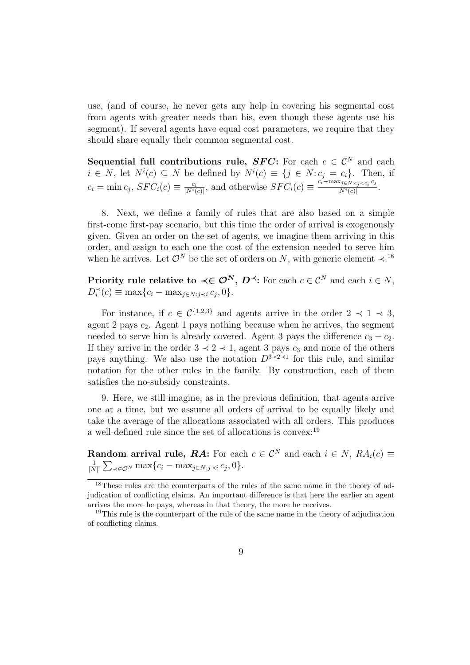use, (and of course, he never gets any help in covering his segmental cost from agents with greater needs than his, even though these agents use his segment). If several agents have equal cost parameters, we require that they should share equally their common segmental cost.

Sequential full contributions rule, SFC: For each  $c \in \mathcal{C}^N$  and each  $i \in N$ , let  $N^i(c) \subseteq N$  be defined by  $N^i(c) \equiv \{j \in N : c_j = c_i\}$ . Then, if  $c_i = \min c_j$ ,  $SFC_i(c) \equiv \frac{c_i}{|N^i(i)|}$  $\frac{c_i}{|N^i(c)|}$ , and otherwise  $SFC_i(c) \equiv \frac{c_i - \max_{j \in N: c_j < c_i} c_j}{|N^i(c)|}$  $\frac{N_i(s) \leq C_i C_j}{|N^i(c)|}$ .

8. Next, we define a family of rules that are also based on a simple first-come first-pay scenario, but this time the order of arrival is exogenously given. Given an order on the set of agents, we imagine them arriving in this order, and assign to each one the cost of the extension needed to serve him when he arrives. Let  $\mathcal{O}^N$  be the set of orders on N, with generic element  $\prec$ .<sup>18</sup>

Priority rule relative to  $\prec \in \mathcal{O}^N$ ,  $D^{\prec}$ : For each  $c \in \mathcal{C}^N$  and each  $i \in N$ ,  $D_i^{\prec}(c) \equiv \max\{c_i - \max_{j \in N: j \prec i} c_j, 0\}.$ 

For instance, if  $c \in C^{\{1,2,3\}}$  and agents arrive in the order  $2 \prec 1 \prec 3$ , agent 2 pays  $c_2$ . Agent 1 pays nothing because when he arrives, the segment needed to serve him is already covered. Agent 3 pays the difference  $c_3 - c_2$ . If they arrive in the order  $3 \prec 2 \prec 1$ , agent 3 pays  $c_3$  and none of the others pays anything. We also use the notation  $D^{3\prec 2\prec 1}$  for this rule, and similar notation for the other rules in the family. By construction, each of them satisfies the no-subsidy constraints.

9. Here, we still imagine, as in the previous definition, that agents arrive one at a time, but we assume all orders of arrival to be equally likely and take the average of the allocations associated with all orders. This produces a well-defined rule since the set of allocations is convex:<sup>19</sup>

**Random arrival rule, RA:** For each  $c \in \mathcal{C}^N$  and each  $i \in N$ ,  $RA_i(c) \equiv$ 1  $\frac{1}{|N|!} \sum_{\prec \in \mathcal{O}^N} \max\{c_i - \max_{j \in N: j \prec i} c_j, 0\}.$ 

<sup>&</sup>lt;sup>18</sup>These rules are the counterparts of the rules of the same name in the theory of adjudication of conflicting claims. An important difference is that here the earlier an agent arrives the more he pays, whereas in that theory, the more he receives.

<sup>&</sup>lt;sup>19</sup>This rule is the counterpart of the rule of the same name in the theory of adjudication of conflicting claims.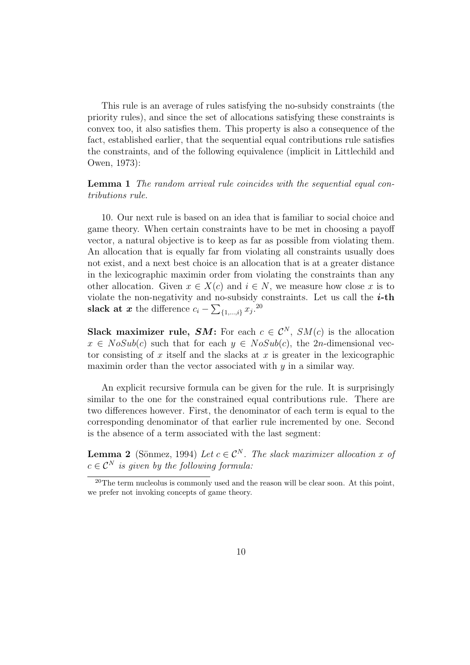This rule is an average of rules satisfying the no-subsidy constraints (the priority rules), and since the set of allocations satisfying these constraints is convex too, it also satisfies them. This property is also a consequence of the fact, established earlier, that the sequential equal contributions rule satisfies the constraints, and of the following equivalence (implicit in Littlechild and Owen, 1973):

Lemma 1 The random arrival rule coincides with the sequential equal contributions rule.

10. Our next rule is based on an idea that is familiar to social choice and game theory. When certain constraints have to be met in choosing a payoff vector, a natural objective is to keep as far as possible from violating them. An allocation that is equally far from violating all constraints usually does not exist, and a next best choice is an allocation that is at a greater distance in the lexicographic maximin order from violating the constraints than any other allocation. Given  $x \in X(c)$  and  $i \in N$ , we measure how close x is to violate the non-negativity and no-subsidy constraints. Let us call the  $i$ -th slack at x the difference  $c_i - \sum_{\{1,\ldots,i\}} x_j$ .<sup>20</sup>

Slack maximizer rule, SM: For each  $c \in \mathcal{C}^N$ , SM(c) is the allocation  $x \in NoSub(c)$  such that for each  $y \in NoSub(c)$ , the 2n-dimensional vector consisting of x itself and the slacks at x is greater in the lexicographic maximin order than the vector associated with  $y$  in a similar way.

An explicit recursive formula can be given for the rule. It is surprisingly similar to the one for the constrained equal contributions rule. There are two differences however. First, the denominator of each term is equal to the corresponding denominator of that earlier rule incremented by one. Second is the absence of a term associated with the last segment:

**Lemma 2** (Sönmez, 1994) Let  $c \in \mathcal{C}^N$ . The slack maximizer allocation x of  $c \in \mathcal{C}^N$  is given by the following formula:

 $20$ The term nucleolus is commonly used and the reason will be clear soon. At this point, we prefer not invoking concepts of game theory.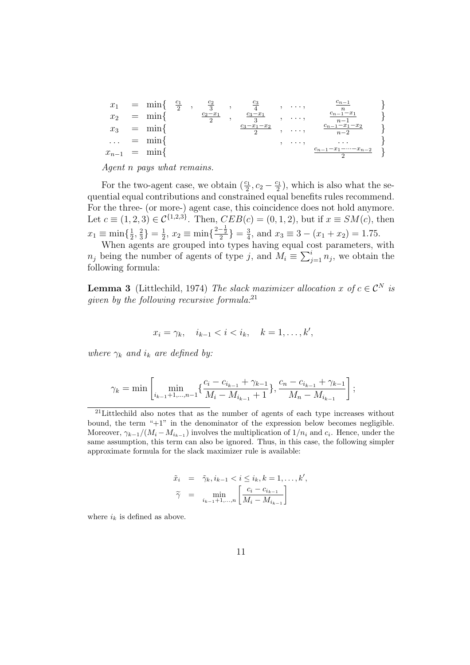$$
x_1 = \min\left\{\n\begin{array}{c}\n\frac{c_1}{2}, & \frac{c_2}{3}, & \frac{c_3}{4}, & \dots, & \frac{c_{n-1}}{n} \\
x_2 = \min\left\{\n\begin{array}{c}\n\frac{c_2 - x_1}{2}, & \frac{c_3 - x_1}{3}, & \dots, & \frac{c_{n-1} - x_1}{n - 1} \\
\frac{c_3 - x_1 - x_2}{2}, & \dots, & \frac{c_{n-1} - x_1 - x_2}{n - 2}\n\end{array}\n\right\} \\
\dots = \min\left\{\n\begin{array}{c}\n\frac{c_{n-1}}{2}, & \dots, & \frac{c_{n-1} - x_1 - x_2}{n - 2} \\
\dots & \frac{c_{n-1} - x_1 - x_2 - x_1}{2}\n\end{array}\n\right\} \\
x_{n-1} = \min\left\{\n\begin{array}{c}\n\frac{c_{n-1}}{2}, & \dots, & \frac{c_{n-1} - x_1 - x_2}{n - 2} \\
\vdots & \vdots, & \dots, & \frac{c_{n-1} - x_1 - x_1 - x_2}{n - 2}\n\end{array}\n\right\}
$$

Agent n pays what remains.

For the two-agent case, we obtain  $(\frac{c_1}{2}, c_2 - \frac{c_1}{2})$  $\frac{z_1}{2}$ , which is also what the sequential equal contributions and constrained equal benefits rules recommend. For the three- (or more-) agent case, this coincidence does not hold anymore. Let  $c \equiv (1, 2, 3) \in C^{\{1, 2, 3\}}$ . Then,  $CEB(c) = (0, 1, 2)$ , but if  $x \equiv SM(c)$ , then  $x_1 \equiv \min\{\frac{1}{2}$  $\frac{1}{2}, \frac{2}{3}$  $\frac{2}{3}$ } =  $\frac{1}{2}$  $\frac{1}{2}$ ,  $x_2 \equiv \min\left\{\frac{2-\frac{1}{2}}{2}\right\} = \frac{3}{4}$  $\frac{3}{4}$ , and  $x_3 \equiv 3 - (x_1 + x_2) = 1.75$ .

When agents are grouped into types having equal cost parameters, with<br>pairs the number of exacts of type is and  $M = \sum_{i=1}^{i} a_i$ , we see about the  $n_j$  being the number of agents of type j, and  $M_i \equiv \sum_{j=1}^i n_j$ , we obtain the following formula:

**Lemma 3** (Littlechild, 1974) The slack maximizer allocation x of  $c \in \mathcal{C}^N$  is given by the following recursive formula: $^{21}$ 

$$
x_i = \gamma_k, \quad i_{k-1} < i < i_k, \quad k = 1, \dots, k',
$$

where  $\gamma_k$  and  $i_k$  are defined by:

$$
\gamma_{k} = \min \left[ \min_{i_{k-1}+1,\dots,n-1} \{ \frac{c_i - c_{i_{k-1}} + \gamma_{k-1}}{M_i - M_{i_{k-1}} + 1} \}, \frac{c_n - c_{i_{k-1}} + \gamma_{k-1}}{M_n - M_{i_{k-1}}} \right];
$$

$$
\tilde{x}_i = \tilde{\gamma}_k, i_{k-1} < i \leq i_k, k = 1, \dots, k',
$$
\n
$$
\tilde{\gamma} = \min_{i_{k-1}+1, \dots, n} \left[ \frac{c_i - c_{i_{k-1}}}{M_i - M_{i_{k-1}}} \right]
$$

where  $i_k$  is defined as above.

<sup>21</sup>Littlechild also notes that as the number of agents of each type increases without bound, the term " $+1$ " in the denominator of the expression below becomes negligible. Moreover,  $\gamma_{k-1}/(M_i - M_{i_{k-1}})$  involves the multiplication of  $1/n_i$  and  $c_i$ . Hence, under the same assumption, this term can also be ignored. Thus, in this case, the following simpler approximate formula for the slack maximizer rule is available: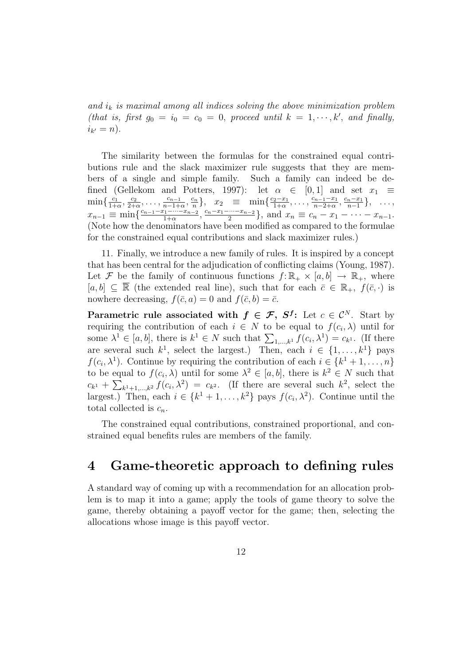and  $i_k$  is maximal among all indices solving the above minimization problem (that is, first  $g_0 = i_0 = c_0 = 0$ , proceed until  $k = 1, \dots, k'$ , and finally,  $i_{k'} = n$ ).

The similarity between the formulas for the constrained equal contributions rule and the slack maximizer rule suggests that they are members of a single and simple family. Such a family can indeed be defined (Gellekom and Potters, 1997): let  $\alpha \in [0,1]$  and set  $x_1 \equiv$  $\min\{\frac{c_1}{1}$  $\frac{c_1}{1+\alpha}, \frac{c_2}{2+\alpha}$  $\frac{c_2}{2+\alpha}, \ldots, \frac{c_{n-1}}{n-1+}$  $\frac{c_{n-1}}{n-1+\alpha}, \frac{c_n}{n}$  $\binom{n}{n}, x_2 \equiv \min\{\frac{c_2-x_1}{1+\alpha}\}$  $\frac{c_2-x_1}{1+\alpha}, \ldots, \frac{c_{n-1}-x_1}{n-2+\alpha}$  $\frac{c_{n-1}-x_1}{n-2+\alpha}, \frac{c_n-x_1}{n-1}$  $\frac{n-x_1}{n-1}\},\quad\ldots,$  $x_{n-1} \equiv \min \{ \frac{c_{n-1}-x_1-\cdots-x_{n-2}}{1+\alpha}$  $\frac{c_1-\cdots-c_{n-2}}{1+\alpha}, \frac{c_n-x_1-\cdots-x_{n-2}}{2}$  $\frac{m-x_{n-2}}{2}$ , and  $x_n \equiv c_n - x_1 - \cdots - x_{n-1}$ . (Note how the denominators have been modified as compared to the formulae for the constrained equal contributions and slack maximizer rules.)

11. Finally, we introduce a new family of rules. It is inspired by a concept that has been central for the adjudication of conflicting claims (Young, 1987). Let F be the family of continuous functions  $f: \mathbb{R}_+ \times [a, b] \to \mathbb{R}_+$ , where  $[a, b] \subseteq \overline{\mathbb{R}}$  (the extended real line), such that for each  $\overline{c} \in \mathbb{R}_+$ ,  $f(\overline{c}, \cdot)$  is nowhere decreasing,  $f(\bar{c}, a) = 0$  and  $f(\bar{c}, b) = \bar{c}$ .

Parametric rule associated with  $f \in \mathcal{F}$ ,  $S^f$ : Let  $c \in \mathcal{C}^N$ . Start by requiring the contribution of each  $i \in N$  to be equal to  $f(c_i, \lambda)$  until for some  $\lambda^1 \in [a, b]$ , there is  $k^1 \in N$  such that  $\sum_{1,...,k^1} f(c_i, \lambda^1) = c_{k^1}$ . (If there are several such  $k^1$ , select the largest.) Then, each  $i \in \{1, ..., k^1\}$  pays  $f(c_i, \lambda^1)$ . Continue by requiring the contribution of each  $i \in \{k^1 + 1, \ldots, n\}$ to be equal to  $f(c_i, \lambda)$  until for some  $\lambda^2 \in [a, b]$ , there is  $k^2 \in N$  such that  $c_{k}$  +  $\sum_{k=1}^{k} f(c_i, \lambda^2) = c_{k}$ . (If there are several such  $k^2$ , select the largest.) Then, each  $i \in \{k^1 + 1, \ldots, k^2\}$  pays  $f(c_i, \lambda^2)$ . Continue until the total collected is  $c_n$ .

The constrained equal contributions, constrained proportional, and constrained equal benefits rules are members of the family.

### 4 Game-theoretic approach to defining rules

A standard way of coming up with a recommendation for an allocation problem is to map it into a game; apply the tools of game theory to solve the game, thereby obtaining a payoff vector for the game; then, selecting the allocations whose image is this payoff vector.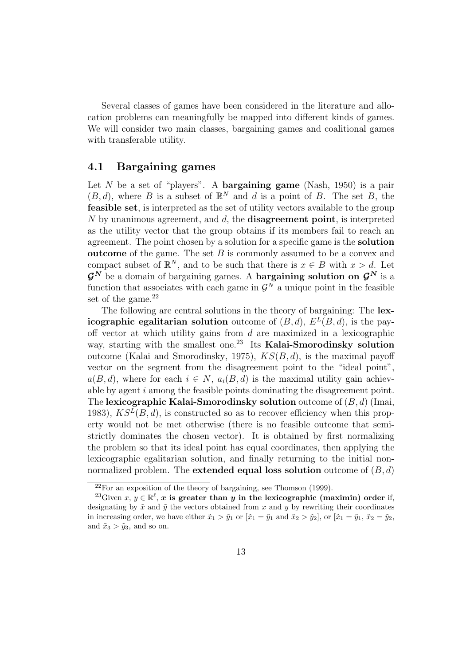Several classes of games have been considered in the literature and allocation problems can meaningfully be mapped into different kinds of games. We will consider two main classes, bargaining games and coalitional games with transferable utility.

#### 4.1 Bargaining games

Let  $N$  be a set of "players". A **bargaining game** (Nash, 1950) is a pair  $(B, d)$ , where B is a subset of  $\mathbb{R}^N$  and d is a point of B. The set B, the feasible set, is interpreted as the set of utility vectors available to the group N by unanimous agreement, and  $d$ , the **disagreement point**, is interpreted as the utility vector that the group obtains if its members fail to reach an agreement. The point chosen by a solution for a specific game is the solution **outcome** of the game. The set  $B$  is commonly assumed to be a convex and compact subset of  $\mathbb{R}^N$ , and to be such that there is  $x \in B$  with  $x > d$ . Let  $\mathcal{G}^N$  be a domain of bargaining games. A **bargaining solution on**  $\mathcal{G}^N$  is a function that associates with each game in  $\mathcal{G}^N$  a unique point in the feasible set of the game. $^{22}$ 

The following are central solutions in the theory of bargaining: The lexicographic egalitarian solution outcome of  $(B, d)$ ,  $E<sup>L</sup>(B, d)$ , is the payoff vector at which utility gains from  $d$  are maximized in a lexicographic way, starting with the smallest one.<sup>23</sup> Its Kalai-Smorodinsky solution outcome (Kalai and Smorodinsky, 1975),  $KS(B, d)$ , is the maximal payoff vector on the segment from the disagreement point to the "ideal point",  $a(B, d)$ , where for each  $i \in N$ ,  $a_i(B, d)$  is the maximal utility gain achievable by agent i among the feasible points dominating the disagreement point. The lexicographic Kalai-Smorodinsky solution outcome of  $(B, d)$  (Imai, 1983),  $KS^{L}(B, d)$ , is constructed so as to recover efficiency when this property would not be met otherwise (there is no feasible outcome that semistrictly dominates the chosen vector). It is obtained by first normalizing the problem so that its ideal point has equal coordinates, then applying the lexicographic egalitarian solution, and finally returning to the initial nonnormalized problem. The **extended equal loss solution** outcome of  $(B, d)$ 

 $22$ For an exposition of the theory of bargaining, see Thomson (1999).

<sup>&</sup>lt;sup>23</sup>Given  $x, y \in \mathbb{R}^{\ell}$ , x is greater than y in the lexicographic (maximin) order if, designating by  $\tilde{x}$  and  $\tilde{y}$  the vectors obtained from x and y by rewriting their coordinates in increasing order, we have either  $\tilde{x}_1 > \tilde{y}_1$  or  $[\tilde{x}_1 = \tilde{y}_1$  and  $\tilde{x}_2 > \tilde{y}_2]$ , or  $[\tilde{x}_1 = \tilde{y}_1, \tilde{x}_2 = \tilde{y}_2,$ and  $\tilde{x}_3 > \tilde{y}_3$ , and so on.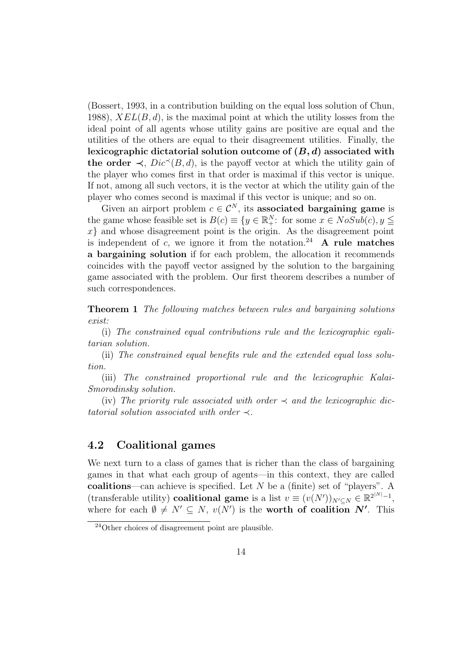(Bossert, 1993, in a contribution building on the equal loss solution of Chun, 1988),  $XEL(B, d)$ , is the maximal point at which the utility losses from the ideal point of all agents whose utility gains are positive are equal and the utilities of the others are equal to their disagreement utilities. Finally, the lexicographic dictatorial solution outcome of  $(B, d)$  associated with the order  $\prec$ ,  $Dic^{\prec}(B,d)$ , is the payoff vector at which the utility gain of the player who comes first in that order is maximal if this vector is unique. If not, among all such vectors, it is the vector at which the utility gain of the player who comes second is maximal if this vector is unique; and so on.

Given an airport problem  $c \in \mathcal{C}^N$ , its associated bargaining game is the game whose feasible set is  $B(c) \equiv \{y \in \mathbb{R}^N_+ : \text{ for some } x \in NoSub(c), y \leq 1\}$  $x$  and whose disagreement point is the origin. As the disagreement point is independent of c, we ignore it from the notation.<sup>24</sup> A rule matches a bargaining solution if for each problem, the allocation it recommends coincides with the payoff vector assigned by the solution to the bargaining game associated with the problem. Our first theorem describes a number of such correspondences.

Theorem 1 The following matches between rules and bargaining solutions exist:

(i) The constrained equal contributions rule and the lexicographic egalitarian solution.

(ii) The constrained equal benefits rule and the extended equal loss solution.

(iii) The constrained proportional rule and the lexicographic Kalai-Smorodinsky solution.

(iv) The priority rule associated with order  $\prec$  and the lexicographic dictatorial solution associated with order  $\prec$ .

#### 4.2 Coalitional games

We next turn to a class of games that is richer than the class of bargaining games in that what each group of agents—in this context, they are called coalitions—can achieve is specified. Let  $N$  be a (finite) set of "players". A (transferable utility) coalitional game is a list  $v \equiv (v(N'))_{N' \subseteq N} \in \mathbb{R}^{2^{|N|}-1}$ , where for each  $\emptyset \neq N' \subseteq N$ ,  $v(N')$  is the **worth of coalition N'**. This

 $^{24}$ Other choices of disagreement point are plausible.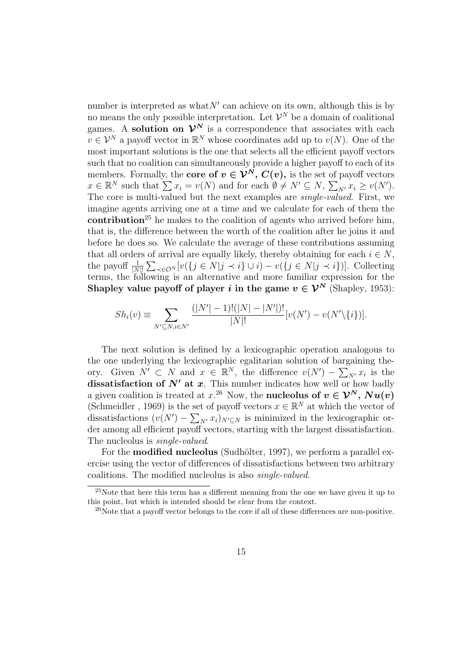number is interpreted as what  $N'$  can achieve on its own, although this is by no means the only possible interpretation. Let  $\mathcal{V}^N$  be a domain of coalitional games. A solution on  $\mathcal{V}^N$  is a correspondence that associates with each  $v \in \mathcal{V}^N$  a payoff vector in  $\mathbb{R}^N$  whose coordinates add up to  $v(N)$ . One of the most important solutions is the one that selects all the efficient payoff vectors such that no coalition can simultaneously provide a higher payoff to each of its members. Formally, the core of  $v \in \mathcal{V}^N$ ,  $C(v)$ , is the set of payoff vectors members. Formally, the core of  $v \in V^{\perp}$ ,  $C(v)$ , is the set of payon vectors  $x \in \mathbb{R}^N$  such that  $\sum x_i = v(N)$  and for each  $\emptyset \neq N' \subseteq N$ ,  $\sum_{N'} x_i \geq v(N')$ . The core is multi-valued but the next examples are single-valued. First, we imagine agents arriving one at a time and we calculate for each of them the contribution<sup>25</sup> he makes to the coalition of agents who arrived before him, that is, the difference between the worth of the coalition after he joins it and before he does so. We calculate the average of these contributions assuming that all orders of arrival are equally likely, thereby obtaining for each  $i \in N$ , the payoff  $\frac{1}{|N|!} \sum_{\prec \in \mathcal{O}^N} [v(\lbrace j \in N | j \prec i \rbrace \cup i) - v(\lbrace j \in N | j \prec i \rbrace)].$  Collecting terms, the following is an alternative and more familiar expression for the Shapley value payoff of player i in the game  $v \in \mathcal{V}^N$  (Shapley, 1953):

$$
Sh_i(v) \equiv \sum_{N' \subseteq N, i \in N'} \frac{(|N'| - 1)! (|N| - |N'|)!}{|N|!} [v(N') - v(N' \setminus \{i\})].
$$

The next solution is defined by a lexicographic operation analogous to the one underlying the lexicographic egalitarian solution of bargaining theory. Given  $N' \subset N$  and  $x \in \mathbb{R}^N$ , the difference  $v(N')$  – arg  $N'$  is the dissatisfaction of  $N'$  at  $x$ . This number indicates how well or how badly a given coalition is treated at  $x^{26}$  Now, the **nucleolus of**  $v \in \mathcal{V}^N$ ,  $Nu(v)$ (Schmeidler, 1969) is the set of payoff vectors  $x \in \mathbb{R}^N$  at which the vector of dissatisfactions  $(v(N') - \sum_{N'} x_i)_{N' \subseteq N}$  is minimized in the lexicographic order among all efficient payoff vectors, starting with the largest dissatisfaction. The nucleolus is *single-valued*.

For the **modified nucleolus** (Sudhölter, 1997), we perform a parallel exercise using the vector of differences of dissatisfactions between two arbitrary coalitions. The modified nucleolus is also single-valued.

<sup>25</sup>Note that here this term has a different meaning from the one we have given it up to this point, but which is intended should be clear from the context.

<sup>&</sup>lt;sup>26</sup>Note that a payoff vector belongs to the core if all of these differences are non-positive.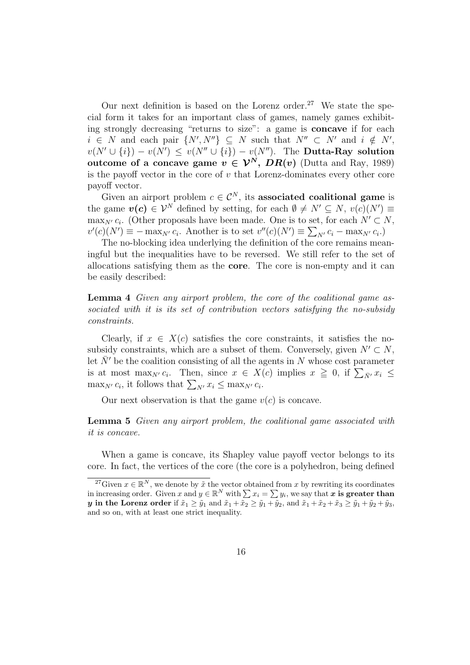Our next definition is based on the Lorenz order.<sup>27</sup> We state the special form it takes for an important class of games, namely games exhibiting strongly decreasing "returns to size": a game is concave if for each  $i \in N$  and each pair  $\{N', N''\} \subseteq N$  such that  $N'' \subset N'$  and  $i \notin N'$ ,  $v(N' \cup \{i\}) - v(N') \le v(N'' \cup \{i\}) - v(N'')$ . The **Dutta-Ray solution** outcome of a concave game  $v \in \mathcal{V}^N$ ,  $DR(v)$  (Dutta and Ray, 1989) is the payoff vector in the core of  $v$  that Lorenz-dominates every other core payoff vector.

Given an airport problem  $c \in \mathcal{C}^N$ , its associated coalitional game is the game  $v(c) \in \mathcal{V}^N$  defined by setting, for each  $\emptyset \neq N' \subseteq N$ ,  $v(c)(N') \equiv$  $\max_{N'} c_i$ . (Other proposals have been made. One is to set, for each  $N' \subset N$ ,  $v'(c)(N') \equiv -\max_{N'} c_i$ . Another is to set  $v''(c)(N') \equiv \sum_{N'} c_i - \max_{N'} c_i$ .

The no-blocking idea underlying the definition of the core remains meaningful but the inequalities have to be reversed. We still refer to the set of allocations satisfying them as the core. The core is non-empty and it can be easily described:

Lemma 4 Given any airport problem, the core of the coalitional game associated with it is its set of contribution vectors satisfying the no-subsidy constraints.

Clearly, if  $x \in X(c)$  satisfies the core constraints, it satisfies the nosubsidy constraints, which are a subset of them. Conversely, given  $N' \subset N$ , let  $\bar{N}'$  be the coalition consisting of all the agents in N whose cost parameter is at most max<sub>N'</sub>  $c_i$ . Then, since  $x \in X(c)$  implies  $x \geq 0$ , if  $\sum_{\bar{N}'} x_i \leq$ is at most max<sub>N'</sub>  $c_i$ . Then, since  $x \in X$  and  $\max_{N'} c_i$ , it follows that  $\sum_{N'} x_i \leq \max_{N'} c_i$ .

Our next observation is that the game  $v(c)$  is concave.

#### Lemma 5 Given any airport problem, the coalitional game associated with it is concave.

When a game is concave, its Shapley value payoff vector belongs to its core. In fact, the vertices of the core (the core is a polyhedron, being defined

<sup>&</sup>lt;sup>27</sup>Given  $x \in \mathbb{R}^N$ , we denote by  $\tilde{x}$  the vector obtained from x by rewriting its coordinates in increasing order. Given x and  $y \in \mathbb{R}^N$  with  $\sum x_i = \sum y_i$ , we say that x is greater than y in the Lorenz order if  $\tilde{x}_1 \geq \tilde{y}_1$  and  $\tilde{x}_1 + \tilde{x}_2 \geq \tilde{y}_1 + \tilde{y}_2$ , and  $\tilde{x}_1 + \tilde{x}_2 + \tilde{x}_3 \geq \tilde{y}_1 + \tilde{y}_2 + \tilde{y}_3$ , and so on, with at least one strict inequality.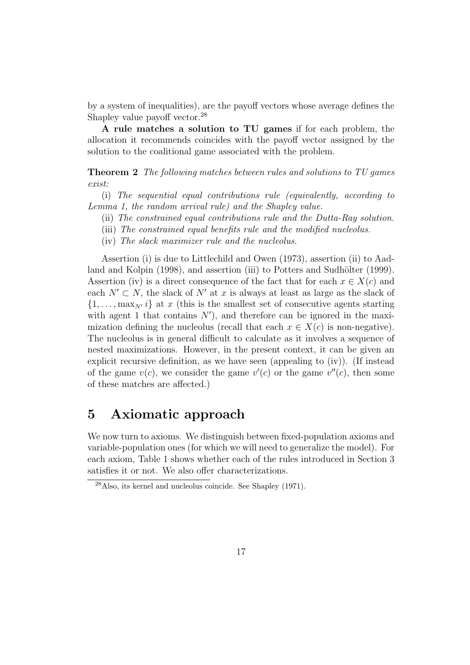by a system of inequalities), are the payoff vectors whose average defines the Shapley value payoff vector.<sup>28</sup>

A rule matches a solution to TU games if for each problem, the allocation it recommends coincides with the payoff vector assigned by the solution to the coalitional game associated with the problem.

Theorem 2 The following matches between rules and solutions to TU games exist:

(i) The sequential equal contributions rule (equivalently, according to Lemma 1, the random arrival rule) and the Shapley value.

- (ii) The constrained equal contributions rule and the Dutta-Ray solution.
- (iii) The constrained equal benefits rule and the modified nucleolus.
- (iv) The slack maximizer rule and the nucleolus.

Assertion (i) is due to Littlechild and Owen (1973), assertion (ii) to Aadland and Kolpin (1998), and assertion (iii) to Potters and Sudhölter (1999). Assertion (iv) is a direct consequence of the fact that for each  $x \in X(c)$  and each  $N' \subset N$ , the slack of N' at x is always at least as large as the slack of  $\{1, \ldots, \max_{N'} i\}$  at x (this is the smallest set of consecutive agents starting with agent 1 that contains  $N'$ , and therefore can be ignored in the maximization defining the nucleolus (recall that each  $x \in X(c)$  is non-negative). The nucleolus is in general difficult to calculate as it involves a sequence of nested maximizations. However, in the present context, it can be given an explicit recursive definition, as we have seen (appealing to (iv)). (If instead of the game  $v(c)$ , we consider the game  $v'(c)$  or the game  $v''(c)$ , then some of these matches are affected.)

## 5 Axiomatic approach

We now turn to axioms. We distinguish between fixed-population axioms and variable-population ones (for which we will need to generalize the model). For each axiom, Table 1 shows whether each of the rules introduced in Section 3 satisfies it or not. We also offer characterizations.

 $^{28}$ Also, its kernel and nucleolus coincide. See Shapley (1971).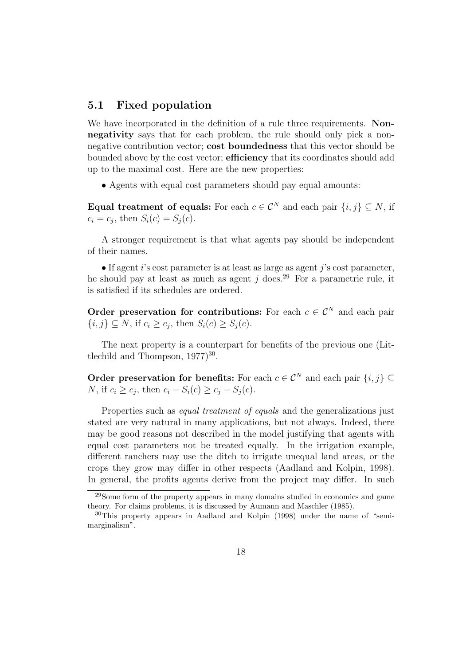#### 5.1 Fixed population

We have incorporated in the definition of a rule three requirements. Nonnegativity says that for each problem, the rule should only pick a nonnegative contribution vector; cost boundedness that this vector should be bounded above by the cost vector; **efficiency** that its coordinates should add up to the maximal cost. Here are the new properties:

• Agents with equal cost parameters should pay equal amounts:

Equal treatment of equals: For each  $c \in \mathcal{C}^N$  and each pair  $\{i, j\} \subseteq N$ , if  $c_i = c_j$ , then  $S_i(c) = S_j(c)$ .

A stronger requirement is that what agents pay should be independent of their names.

 $\bullet$  If agent *i*'s cost parameter is at least as large as agent *j*'s cost parameter, he should pay at least as much as agent j does.<sup>29</sup> For a parametric rule, it is satisfied if its schedules are ordered.

Order preservation for contributions: For each  $c \in \mathcal{C}^N$  and each pair  $\{i, j\} \subseteq N$ , if  $c_i \geq c_j$ , then  $S_i(c) \geq S_j(c)$ .

The next property is a counterpart for benefits of the previous one (Littlechild and Thompson,  $1977$ <sup>30</sup>.

Order preservation for benefits: For each  $c \in \mathcal{C}^N$  and each pair  $\{i, j\} \subset \mathcal{C}^N$ N, if  $c_i \geq c_j$ , then  $c_i - S_i(c) \geq c_j - S_j(c)$ .

Properties such as *equal treatment of equals* and the generalizations just stated are very natural in many applications, but not always. Indeed, there may be good reasons not described in the model justifying that agents with equal cost parameters not be treated equally. In the irrigation example, different ranchers may use the ditch to irrigate unequal land areas, or the crops they grow may differ in other respects (Aadland and Kolpin, 1998). In general, the profits agents derive from the project may differ. In such

<sup>29</sup>Some form of the property appears in many domains studied in economics and game theory. For claims problems, it is discussed by Aumann and Maschler (1985).

<sup>30</sup>This property appears in Aadland and Kolpin (1998) under the name of "semimarginalism".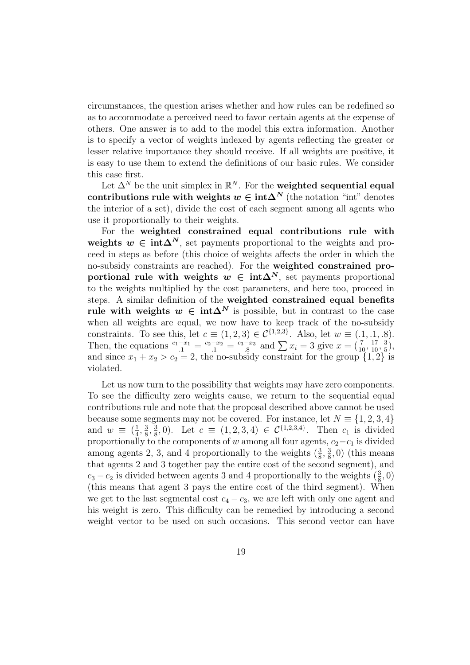circumstances, the question arises whether and how rules can be redefined so as to accommodate a perceived need to favor certain agents at the expense of others. One answer is to add to the model this extra information. Another is to specify a vector of weights indexed by agents reflecting the greater or lesser relative importance they should receive. If all weights are positive, it is easy to use them to extend the definitions of our basic rules. We consider this case first.

Let  $\Delta^N$  be the unit simplex in  $\mathbb{R}^N$ . For the **weighted sequential equal** contributions rule with weights  $w \in \text{int}\Delta^N$  (the notation "int" denotes the interior of a set), divide the cost of each segment among all agents who use it proportionally to their weights.

For the weighted constrained equal contributions rule with weights  $w \in \text{int}\Delta^N$ , set payments proportional to the weights and proceed in steps as before (this choice of weights affects the order in which the no-subsidy constraints are reached). For the weighted constrained proportional rule with weights  $w \in \text{int}\Delta^N$ , set payments proportional to the weights multiplied by the cost parameters, and here too, proceed in steps. A similar definition of the weighted constrained equal benefits rule with weights  $w \in \text{int}\Delta^N$  is possible, but in contrast to the case when all weights are equal, we now have to keep track of the no-subsidy constraints. To see this, let  $c \equiv (1, 2, 3) \in C^{\{1, 2, 3\}}$ . Also, let  $w \equiv (0.1, 0.1, 0.8)$ . Then, the equations  $\frac{c_1 - x_1}{1} = \frac{c_2 - x_2}{1} = \frac{c_3 - x_3}{8}$ b)  $\in$  C<sup>c</sup> (3). Also, let  $w = (.1, .1, .8)$ <br>  $\frac{-x_3}{3}$  and  $\sum x_i = 3$  give  $x = (\frac{7}{10}, \frac{17}{10}, \frac{3}{5})$  $\frac{3}{5}$ ), and since  $x_1 + x_2 > c_2 = 2$ , the no-subsidy constraint for the group  $\{1, 2\}$  is violated.

Let us now turn to the possibility that weights may have zero components. To see the difficulty zero weights cause, we return to the sequential equal contributions rule and note that the proposal described above cannot be used because some segments may not be covered. For instance, let  $N \equiv \{1, 2, 3, 4\}$ and  $w \equiv \left(\frac{1}{4}\right)$  $\frac{1}{4}$ ,  $\frac{3}{8}$  $\frac{3}{8}, \frac{3}{8}$  $\frac{3}{8}$ , 0). Let  $c \equiv (1, 2, 3, 4) \in C^{\{1, 2, 3, 4\}}$ . Then  $c_1$  is divided proportionally to the components of w among all four agents,  $c_2-c_1$  is divided among agents 2, 3, and 4 proportionally to the weights  $(\frac{3}{8}, \frac{3}{8})$  $(\frac{3}{8}, 0)$  (this means that agents 2 and 3 together pay the entire cost of the second segment), and  $c_3 - c_2$  is divided between agents 3 and 4 proportionally to the weights  $(\frac{3}{8}, 0)$ (this means that agent 3 pays the entire cost of the third segment). When we get to the last segmental cost  $c_4 - c_3$ , we are left with only one agent and his weight is zero. This difficulty can be remedied by introducing a second weight vector to be used on such occasions. This second vector can have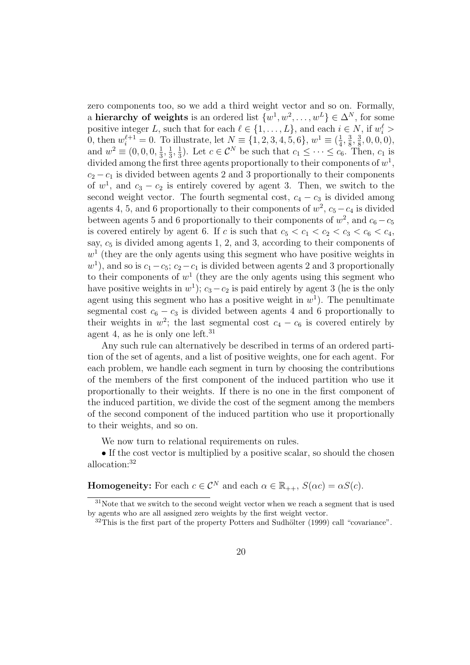zero components too, so we add a third weight vector and so on. Formally, a hierarchy of weights is an ordered list  $\{w^1, w^2, \ldots, w^L\} \in \Delta^N$ , for some positive integer L, such that for each  $\ell \in \{1, \ldots, L\}$ , and each  $i \in N$ , if  $w_i^{\ell}$ 0, then  $w_i^{\ell+1} = 0$ . To illustrate, let  $N \equiv \{1, 2, 3, 4, 5, 6\}, w^1 \equiv \left(\frac{1}{4}\right)$  $\frac{1}{4}$ ,  $\frac{3}{8}$  $\frac{3}{8}, \frac{3}{8}$  $\frac{3}{8}$ , 0, 0, 0), and  $w^2 \equiv (0, 0, 0, \frac{1}{3})$  $\frac{1}{3}, \frac{1}{3}$  $\frac{1}{3}, \frac{1}{3}$  $\frac{1}{3}$ ). Let  $c \in \mathcal{C}^N$  be such that  $c_1 \leq \cdots \leq c_6$ . Then,  $c_1$  is divided among the first three agents proportionally to their components of  $w^1$ ,  $c_2 - c_1$  is divided between agents 2 and 3 proportionally to their components of  $w^1$ , and  $c_3 - c_2$  is entirely covered by agent 3. Then, we switch to the second weight vector. The fourth segmental cost,  $c_4 - c_3$  is divided among agents 4, 5, and 6 proportionally to their components of  $w^2$ ,  $c_5 - c_4$  is divided between agents 5 and 6 proportionally to their components of  $w^2$ , and  $c_6 - c_5$ is covered entirely by agent 6. If c is such that  $c_5 < c_1 < c_2 < c_3 < c_6 < c_4$ , say,  $c_5$  is divided among agents 1, 2, and 3, according to their components of  $w<sup>1</sup>$  (they are the only agents using this segment who have positive weights in  $w<sup>1</sup>$ ), and so is  $c_1-c_5$ ;  $c_2-c_1$  is divided between agents 2 and 3 proportionally to their components of  $w^1$  (they are the only agents using this segment who have positive weights in  $w^1$ );  $c_3 - c_2$  is paid entirely by agent 3 (he is the only agent using this segment who has a positive weight in  $w<sup>1</sup>$ ). The penultimate segmental cost  $c_6 - c_3$  is divided between agents 4 and 6 proportionally to their weights in  $w^2$ ; the last segmental cost  $c_4 - c_6$  is covered entirely by agent 4, as he is only one left.<sup>31</sup>

Any such rule can alternatively be described in terms of an ordered partition of the set of agents, and a list of positive weights, one for each agent. For each problem, we handle each segment in turn by choosing the contributions of the members of the first component of the induced partition who use it proportionally to their weights. If there is no one in the first component of the induced partition, we divide the cost of the segment among the members of the second component of the induced partition who use it proportionally to their weights, and so on.

We now turn to relational requirements on rules.

• If the cost vector is multiplied by a positive scalar, so should the chosen allocation:<sup>32</sup>

**Homogeneity:** For each  $c \in \mathcal{C}^N$  and each  $\alpha \in \mathbb{R}_{++}$ ,  $S(\alpha c) = \alpha S(c)$ .

<sup>&</sup>lt;sup>31</sup>Note that we switch to the second weight vector when we reach a segment that is used by agents who are all assigned zero weights by the first weight vector.

 $32$ This is the first part of the property Potters and Sudhölter (1999) call "covariance".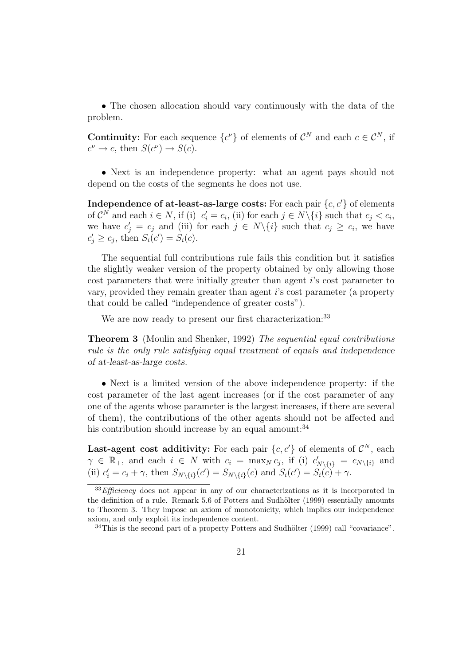• The chosen allocation should vary continuously with the data of the problem.

**Continuity:** For each sequence  $\{c^{\nu}\}\$  of elements of  $C^N$  and each  $c \in C^N$ , if  $c^{\nu} \to c$ , then  $S(c^{\nu}) \to S(c)$ .

• Next is an independence property: what an agent pays should not depend on the costs of the segments he does not use.

**Independence of at-least-as-large costs:** For each pair  $\{c, c'\}$  of elements of  $\mathcal{C}^N$  and each  $i \in N$ , if (i)  $c'_i = c_i$ , (ii) for each  $j \in N \setminus \{i\}$  such that  $c_j < c_i$ , we have  $c_j' = c_j$  and (iii) for each  $j \in N \setminus \{i\}$  such that  $c_j \geq c_i$ , we have  $c'_j \geq c_j$ , then  $S_i(c') = S_i(c)$ .

The sequential full contributions rule fails this condition but it satisfies the slightly weaker version of the property obtained by only allowing those cost parameters that were initially greater than agent i's cost parameter to vary, provided they remain greater than agent i's cost parameter (a property that could be called "independence of greater costs").

We are now ready to present our first characterization:<sup>33</sup>

Theorem 3 (Moulin and Shenker, 1992) The sequential equal contributions rule is the only rule satisfying equal treatment of equals and independence of at-least-as-large costs.

• Next is a limited version of the above independence property: if the cost parameter of the last agent increases (or if the cost parameter of any one of the agents whose parameter is the largest increases, if there are several of them), the contributions of the other agents should not be affected and his contribution should increase by an equal amount: $34$ 

Last-agent cost additivity: For each pair  $\{c, c'\}$  of elements of  $\mathcal{C}^N$ , each  $\gamma \in \mathbb{R}_+$ , and each  $i \in N$  with  $c_i = \max_N c_j$ , if (i)  $c'_{N\setminus\{i\}} = c_{N\setminus\{i\}}$  and (ii)  $c_i' = c_i + \gamma$ , then  $S_{N\setminus\{i\}}(c') = S_{N\setminus\{i\}}(c)$  and  $S_i(c') = S_i(c) + \gamma$ .

 $33$ Efficiency does not appear in any of our characterizations as it is incorporated in the definition of a rule. Remark  $5.6$  of Potters and Sudhölter (1999) essentially amounts to Theorem 3. They impose an axiom of monotonicity, which implies our independence axiom, and only exploit its independence content.

 $34$ This is the second part of a property Potters and Sudhölter (1999) call "covariance".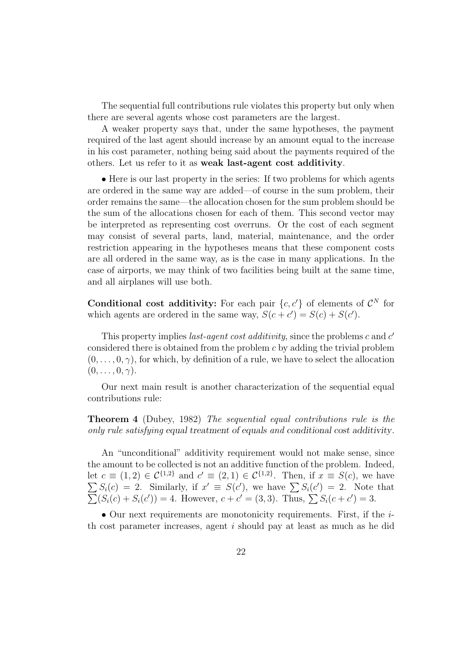The sequential full contributions rule violates this property but only when there are several agents whose cost parameters are the largest.

A weaker property says that, under the same hypotheses, the payment required of the last agent should increase by an amount equal to the increase in his cost parameter, nothing being said about the payments required of the others. Let us refer to it as weak last-agent cost additivity.

• Here is our last property in the series: If two problems for which agents are ordered in the same way are added—of course in the sum problem, their order remains the same—the allocation chosen for the sum problem should be the sum of the allocations chosen for each of them. This second vector may be interpreted as representing cost overruns. Or the cost of each segment may consist of several parts, land, material, maintenance, and the order restriction appearing in the hypotheses means that these component costs are all ordered in the same way, as is the case in many applications. In the case of airports, we may think of two facilities being built at the same time, and all airplanes will use both.

**Conditional cost additivity:** For each pair  $\{c, c'\}$  of elements of  $\mathcal{C}^N$  for which agents are ordered in the same way,  $S(c + c') = S(c) + S(c')$ .

This property implies *last-agent cost additivity*, since the problems c and  $c'$ considered there is obtained from the problem c by adding the trivial problem  $(0, \ldots, 0, \gamma)$ , for which, by definition of a rule, we have to select the allocation  $(0,\ldots,0,\gamma).$ 

Our next main result is another characterization of the sequential equal contributions rule:

Theorem 4 (Dubey, 1982) The sequential equal contributions rule is the only rule satisfying equal treatment of equals and conditional cost additivity.

An "unconditional" additivity requirement would not make sense, since the amount to be collected is not an additive function of the problem. Indeed, let  $c \equiv (1,2) \in \mathcal{C}^{\{1,2\}}$  and  $c' \equiv (2,1) \in \mathcal{C}^{\{1,2\}}$ . Then, if  $x \equiv S(c)$ , we have  $\tilde{E}$ Let  $c = (1, 2) \in C^{(3)}$  and  $c = (2, 1) \in C^{(3)}$ . Then, if  $x \equiv S(c)$ , we have  $\sum S_i(c') = 2$ . Note that  $S_i(c) = 2$ . Similarly, if  $x = S(c)$ , we have  $\sum S_i(c) = 2$ . Note<br>  $(S_i(c) + S_i(c')) = 4$ . However,  $c + c' = (3, 3)$ . Thus,  $\sum S_i(c + c') = 3$ .

• Our next requirements are monotonicity requirements. First, if the ith cost parameter increases, agent i should pay at least as much as he did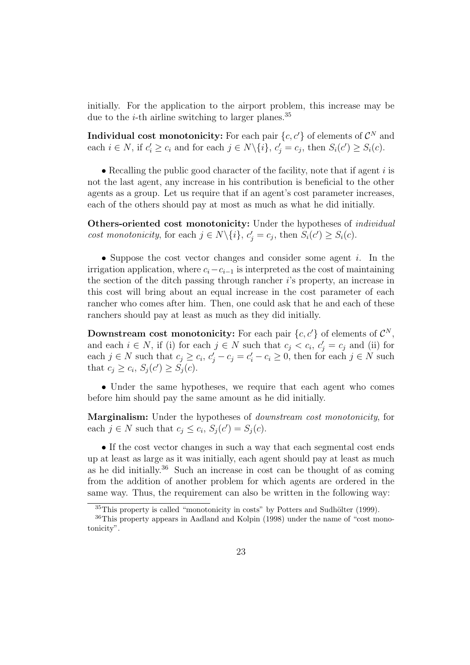initially. For the application to the airport problem, this increase may be due to the *i*-th airline switching to larger planes.<sup>35</sup>

Individual cost monotonicity: For each pair  $\{c, c'\}$  of elements of  $\mathcal{C}^N$  and each  $i \in N$ , if  $c'_i \ge c_i$  and for each  $j \in N \setminus \{i\}$ ,  $c'_j = c_j$ , then  $S_i(c') \ge S_i(c)$ .

• Recalling the public good character of the facility, note that if agent  $i$  is not the last agent, any increase in his contribution is beneficial to the other agents as a group. Let us require that if an agent's cost parameter increases, each of the others should pay at most as much as what he did initially.

**Others-oriented cost monotonicity:** Under the hypotheses of *individual* cost monotonicity, for each  $j \in N \setminus \{i\}$ ,  $c'_j = c_j$ , then  $S_i(c') \geq S_i(c)$ .

• Suppose the cost vector changes and consider some agent i. In the irrigation application, where  $c_i-c_{i-1}$  is interpreted as the cost of maintaining the section of the ditch passing through rancher i's property, an increase in this cost will bring about an equal increase in the cost parameter of each rancher who comes after him. Then, one could ask that he and each of these ranchers should pay at least as much as they did initially.

**Downstream cost monotonicity:** For each pair  $\{c, c'\}$  of elements of  $\mathcal{C}^N$ , and each  $i \in N$ , if (i) for each  $j \in N$  such that  $c_j < c_i$ ,  $c'_j = c_j$  and (ii) for each  $j \in N$  such that  $c_j \geq c_i$ ,  $c'_j - c_j = c'_i - c_i \geq 0$ , then for each  $j \in N$  such that  $c_j \geq c_i$ ,  $S_j(c') \geq S_j(c)$ .

• Under the same hypotheses, we require that each agent who comes before him should pay the same amount as he did initially.

Marginalism: Under the hypotheses of downstream cost monotonicity, for each  $j \in N$  such that  $c_j \leq c_i$ ,  $S_j(c') = S_j(c)$ .

• If the cost vector changes in such a way that each segmental cost ends up at least as large as it was initially, each agent should pay at least as much as he did initially.<sup>36</sup> Such an increase in cost can be thought of as coming from the addition of another problem for which agents are ordered in the same way. Thus, the requirement can also be written in the following way:

 $35$ This property is called "monotonicity in costs" by Potters and Sudhölter (1999).

<sup>36</sup>This property appears in Aadland and Kolpin (1998) under the name of "cost monotonicity".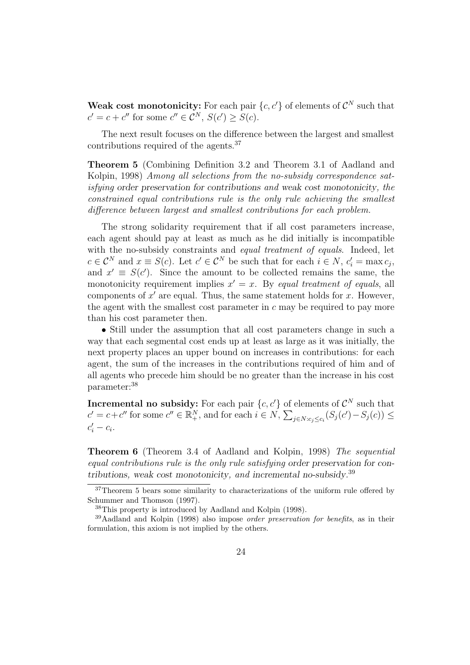Weak cost monotonicity: For each pair  $\{c, c'\}$  of elements of  $\mathcal{C}^N$  such that  $c' = c + c''$  for some  $c'' \in \mathcal{C}^N$ ,  $S(c') \geq S(c)$ .

The next result focuses on the difference between the largest and smallest contributions required of the agents.<sup>37</sup>

Theorem 5 (Combining Definition 3.2 and Theorem 3.1 of Aadland and Kolpin, 1998) Among all selections from the no-subsidy correspondence satisfying order preservation for contributions and weak cost monotonicity, the constrained equal contributions rule is the only rule achieving the smallest difference between largest and smallest contributions for each problem.

The strong solidarity requirement that if all cost parameters increase, each agent should pay at least as much as he did initially is incompatible with the no-subsidy constraints and *equal treatment of equals*. Indeed, let  $c \in \mathcal{C}^N$  and  $x \equiv S(c)$ . Let  $c' \in \mathcal{C}^N$  be such that for each  $i \in N$ ,  $c'_i = \max c_j$ , and  $x' \equiv S(c')$ . Since the amount to be collected remains the same, the monotonicity requirement implies  $x' = x$ . By equal treatment of equals, all components of  $x'$  are equal. Thus, the same statement holds for  $x$ . However, the agent with the smallest cost parameter in  $c$  may be required to pay more than his cost parameter then.

• Still under the assumption that all cost parameters change in such a way that each segmental cost ends up at least as large as it was initially, the next property places an upper bound on increases in contributions: for each agent, the sum of the increases in the contributions required of him and of all agents who precede him should be no greater than the increase in his cost parameter:<sup>38</sup>

**Incremental no subsidy:** For each pair  $\{c, c'\}$  of elements of  $\mathcal{C}^N$  such that  $c' = c + c''$  for some  $c'' \in \mathbb{R}^N_+$ , and for each  $i \in N$ ,  $\sum_{j \in N:c_j \leq c_i} (S_j(c') - S_j(c)) \leq$  $c_i' - c_i$ .

Theorem 6 (Theorem 3.4 of Aadland and Kolpin, 1998) The sequential equal contributions rule is the only rule satisfying order preservation for contributions, weak cost monotonicity, and incremental no-subsidy.<sup>39</sup>

<sup>&</sup>lt;sup>37</sup>Theorem 5 bears some similarity to characterizations of the uniform rule offered by Schummer and Thomson (1997).

<sup>38</sup>This property is introduced by Aadland and Kolpin (1998).

 $39$ Aadland and Kolpin (1998) also impose *order preservation for benefits*, as in their formulation, this axiom is not implied by the others.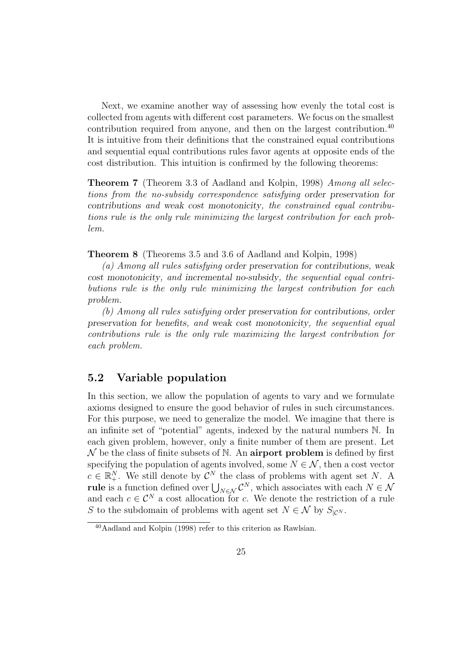Next, we examine another way of assessing how evenly the total cost is collected from agents with different cost parameters. We focus on the smallest contribution required from anyone, and then on the largest contribution.<sup>40</sup> It is intuitive from their definitions that the constrained equal contributions and sequential equal contributions rules favor agents at opposite ends of the cost distribution. This intuition is confirmed by the following theorems:

**Theorem 7** (Theorem 3.3 of Aadland and Kolpin, 1998) Among all selections from the no-subsidy correspondence satisfying order preservation for contributions and weak cost monotonicity, the constrained equal contributions rule is the only rule minimizing the largest contribution for each problem.

Theorem 8 (Theorems 3.5 and 3.6 of Aadland and Kolpin, 1998)

(a) Among all rules satisfying order preservation for contributions, weak cost monotonicity, and incremental no-subsidy, the sequential equal contributions rule is the only rule minimizing the largest contribution for each problem.

(b) Among all rules satisfying order preservation for contributions, order preservation for benefits, and weak cost monotonicity, the sequential equal contributions rule is the only rule maximizing the largest contribution for each problem.

#### 5.2 Variable population

In this section, we allow the population of agents to vary and we formulate axioms designed to ensure the good behavior of rules in such circumstances. For this purpose, we need to generalize the model. We imagine that there is an infinite set of "potential" agents, indexed by the natural numbers N. In each given problem, however, only a finite number of them are present. Let  $\mathcal N$  be the class of finite subsets of N. An airport problem is defined by first specifying the population of agents involved, some  $N \in \mathcal{N}$ , then a cost vector  $c \in \mathbb{R}^N_+$ . We still denote by  $\mathcal{C}^N$  the class of problems with agent set N. A **rule** is a function defined over  $\bigcup_{N \in \mathcal{N}} \mathcal{C}^N$ , which associates with each  $N \in \mathcal{N}$ and each  $c \in \mathcal{C}^N$  a cost allocation for c. We denote the restriction of a rule S to the subdomain of problems with agent set  $N \in \mathcal{N}$  by  $S_{|\mathcal{C}^N}$ .

<sup>40</sup>Aadland and Kolpin (1998) refer to this criterion as Rawlsian.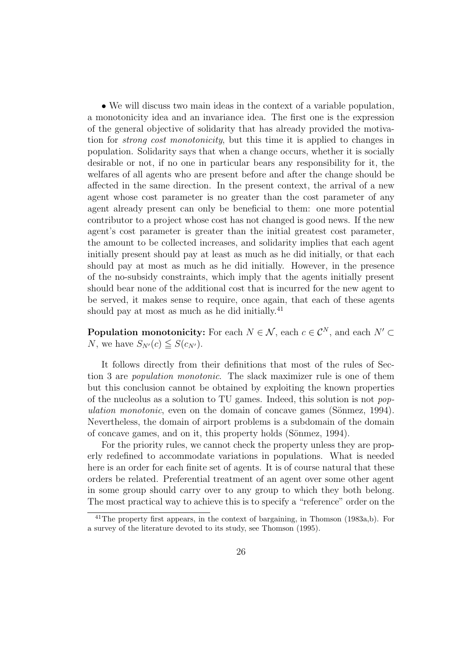• We will discuss two main ideas in the context of a variable population, a monotonicity idea and an invariance idea. The first one is the expression of the general objective of solidarity that has already provided the motivation for strong cost monotonicity, but this time it is applied to changes in population. Solidarity says that when a change occurs, whether it is socially desirable or not, if no one in particular bears any responsibility for it, the welfares of all agents who are present before and after the change should be affected in the same direction. In the present context, the arrival of a new agent whose cost parameter is no greater than the cost parameter of any agent already present can only be beneficial to them: one more potential contributor to a project whose cost has not changed is good news. If the new agent's cost parameter is greater than the initial greatest cost parameter, the amount to be collected increases, and solidarity implies that each agent initially present should pay at least as much as he did initially, or that each should pay at most as much as he did initially. However, in the presence of the no-subsidy constraints, which imply that the agents initially present should bear none of the additional cost that is incurred for the new agent to be served, it makes sense to require, once again, that each of these agents should pay at most as much as he did initially. $^{41}$ 

**Population monotonicity:** For each  $N \in \mathcal{N}$ , each  $c \in \mathcal{C}^N$ , and each  $N' \subset \mathcal{C}^N$ N, we have  $S_{N'}(c) \leq S(c_{N'})$ .

It follows directly from their definitions that most of the rules of Section 3 are population monotonic. The slack maximizer rule is one of them but this conclusion cannot be obtained by exploiting the known properties of the nucleolus as a solution to TU games. Indeed, this solution is not population monotonic, even on the domain of concave games (Sönmez, 1994). Nevertheless, the domain of airport problems is a subdomain of the domain of concave games, and on it, this property holds (Sönmez, 1994).

For the priority rules, we cannot check the property unless they are properly redefined to accommodate variations in populations. What is needed here is an order for each finite set of agents. It is of course natural that these orders be related. Preferential treatment of an agent over some other agent in some group should carry over to any group to which they both belong. The most practical way to achieve this is to specify a "reference" order on the

<sup>41</sup>The property first appears, in the context of bargaining, in Thomson (1983a,b). For a survey of the literature devoted to its study, see Thomson (1995).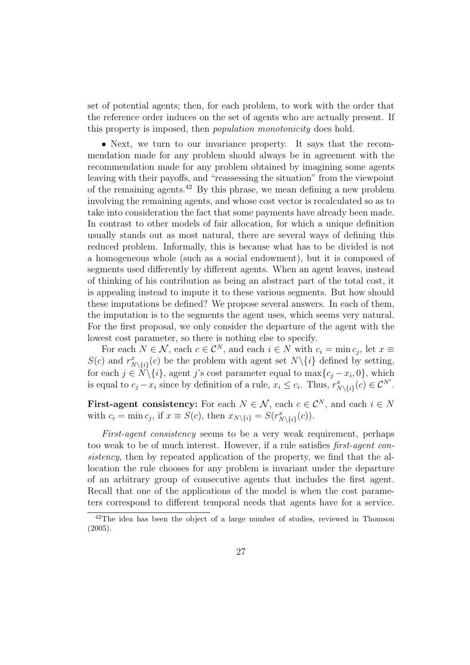set of potential agents; then, for each problem, to work with the order that the reference order induces on the set of agents who are actually present. If this property is imposed, then population monotonicity does hold.

• Next, we turn to our invariance property. It says that the recommendation made for any problem should always be in agreement with the recommendation made for any problem obtained by imagining some agents leaving with their payoffs, and "reassessing the situation" from the viewpoint of the remaining agents.<sup>42</sup> By this phrase, we mean defining a new problem involving the remaining agents, and whose cost vector is recalculated so as to take into consideration the fact that some payments have already been made. In contrast to other models of fair allocation, for which a unique definition usually stands out as most natural, there are several ways of defining this reduced problem. Informally, this is because what has to be divided is not a homogeneous whole (such as a social endowment), but it is composed of segments used differently by different agents. When an agent leaves, instead of thinking of his contribution as being an abstract part of the total cost, it is appealing instead to impute it to these various segments. But how should these imputations be defined? We propose several answers. In each of them, the imputation is to the segments the agent uses, which seems very natural. For the first proposal, we only consider the departure of the agent with the lowest cost parameter, so there is nothing else to specify.

For each  $N \in \mathcal{N}$ , each  $c \in \mathcal{C}^N$ , and each  $i \in N$  with  $c_i = \min c_j$ , let  $x \equiv$  $S(c)$  and  $r_{N\setminus\{i\}}^x(c)$  be the problem with agent set  $N\setminus\{i\}$  defined by setting, for each  $j \in N \setminus \{i\}$ , agent j's cost parameter equal to  $\max\{c_j - x_i, 0\}$ , which is equal to  $c_j - x_i$  since by definition of a rule,  $x_i \le c_i$ . Thus,  $r_{N\setminus\{i\}}^x(c) \in \mathcal{C}^{N'}$ .

First-agent consistency: For each  $N \in \mathcal{N}$ , each  $c \in \mathcal{C}^N$ , and each  $i \in N$ with  $c_i = \min c_j$ , if  $x \equiv S(c)$ , then  $x_{N\setminus\{i\}} = S(r_{N\setminus\{i\}}^x(c))$ .

First-agent consistency seems to be a very weak requirement, perhaps too weak to be of much interest. However, if a rule satisfies first-agent consistency, then by repeated application of the property, we find that the allocation the rule chooses for any problem is invariant under the departure of an arbitrary group of consecutive agents that includes the first agent. Recall that one of the applications of the model is when the cost parameters correspond to different temporal needs that agents have for a service.

 $42$ The idea has been the object of a large number of studies, reviewed in Thomson (2005).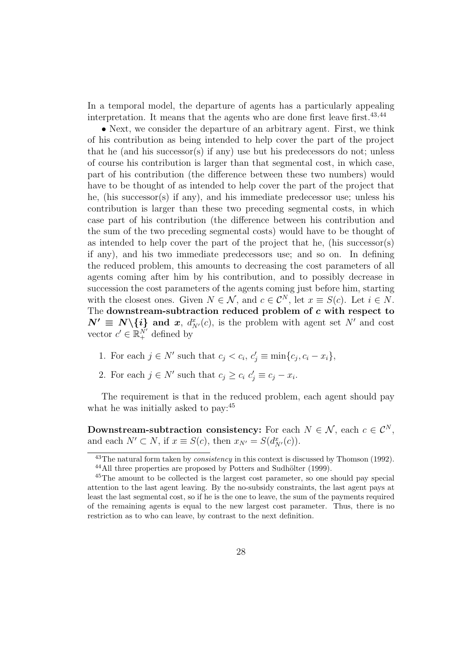In a temporal model, the departure of agents has a particularly appealing interpretation. It means that the agents who are done first leave first.<sup>43,44</sup>

• Next, we consider the departure of an arbitrary agent. First, we think of his contribution as being intended to help cover the part of the project that he (and his successor(s) if any) use but his predecessors do not; unless of course his contribution is larger than that segmental cost, in which case, part of his contribution (the difference between these two numbers) would have to be thought of as intended to help cover the part of the project that he, (his successor(s) if any), and his immediate predecessor use; unless his contribution is larger than these two preceding segmental costs, in which case part of his contribution (the difference between his contribution and the sum of the two preceding segmental costs) would have to be thought of as intended to help cover the part of the project that he, (his successor(s) if any), and his two immediate predecessors use; and so on. In defining the reduced problem, this amounts to decreasing the cost parameters of all agents coming after him by his contribution, and to possibly decrease in succession the cost parameters of the agents coming just before him, starting with the closest ones. Given  $N \in \mathcal{N}$ , and  $c \in \mathcal{C}^N$ , let  $x \equiv S(c)$ . Let  $i \in N$ . The downstream-subtraction reduced problem of c with respect to  $N' \equiv N \setminus \{i\}$  and x,  $d_{N'}^x(c)$ , is the problem with agent set N' and cost vector  $c' \in \mathbb{R}_+^{N'}$  defined by

- 1. For each  $j \in N'$  such that  $c_j < c_i$ ,  $c'_j \equiv \min\{c_j, c_i x_i\}$ ,
- 2. For each  $j \in N'$  such that  $c_j \geq c_i$   $c'_j \equiv c_j x_i$ .

The requirement is that in the reduced problem, each agent should pay what he was initially asked to pay:  $45$ 

Downstream-subtraction consistency: For each  $N \in \mathcal{N}$ , each  $c \in \mathcal{C}^N$ , and each  $N' \subset N$ , if  $x \equiv S(c)$ , then  $x_{N'} = S(d_{N'}^x(c))$ .

 $43$ The natural form taken by *consistency* in this context is discussed by Thomson (1992).  $44$ All three properties are proposed by Potters and Sudhölter (1999).

<sup>45</sup>The amount to be collected is the largest cost parameter, so one should pay special attention to the last agent leaving. By the no-subsidy constraints, the last agent pays at least the last segmental cost, so if he is the one to leave, the sum of the payments required of the remaining agents is equal to the new largest cost parameter. Thus, there is no restriction as to who can leave, by contrast to the next definition.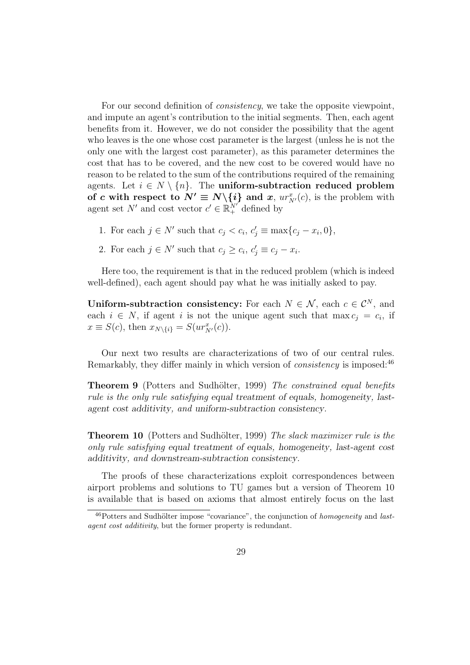For our second definition of *consistency*, we take the opposite viewpoint, and impute an agent's contribution to the initial segments. Then, each agent benefits from it. However, we do not consider the possibility that the agent who leaves is the one whose cost parameter is the largest (unless he is not the only one with the largest cost parameter), as this parameter determines the cost that has to be covered, and the new cost to be covered would have no reason to be related to the sum of the contributions required of the remaining agents. Let  $i \in N \setminus \{n\}$ . The uniform-subtraction reduced problem of c with respect to  $N' \equiv N \setminus \{i\}$  and x,  $ur^x_{N'}(c)$ , is the problem with agent set N' and cost vector  $c' \in \mathbb{R}^N_+$  defined by

- 1. For each  $j \in N'$  such that  $c_j < c_i$ ,  $c'_j \equiv \max\{c_j x_i, 0\}$ ,
- 2. For each  $j \in N'$  such that  $c_j \geq c_i, c'_j \equiv c_j x_i$ .

Here too, the requirement is that in the reduced problem (which is indeed well-defined), each agent should pay what he was initially asked to pay.

Uniform-subtraction consistency: For each  $N \in \mathcal{N}$ , each  $c \in \mathcal{C}^N$ , and each  $i \in N$ , if agent i is not the unique agent such that max  $c_j = c_i$ , if  $x \equiv S(c)$ , then  $x_{N\setminus\{i\}} = S(ur_{N'}^{x}(c))$ .

Our next two results are characterizations of two of our central rules. Remarkably, they differ mainly in which version of *consistency* is imposed:<sup>46</sup>

**Theorem 9** (Potters and Sudhölter, 1999) The constrained equal benefits rule is the only rule satisfying equal treatment of equals, homogeneity, lastagent cost additivity, and uniform-subtraction consistency.

Theorem 10 (Potters and Sudhölter, 1999) The slack maximizer rule is the only rule satisfying equal treatment of equals, homogeneity, last-agent cost additivity, and downstream-subtraction consistency.

The proofs of these characterizations exploit correspondences between airport problems and solutions to TU games but a version of Theorem 10 is available that is based on axioms that almost entirely focus on the last

 $^{46}$ Potters and Sudhölter impose "covariance", the conjunction of *homogeneity* and *last*agent cost additivity, but the former property is redundant.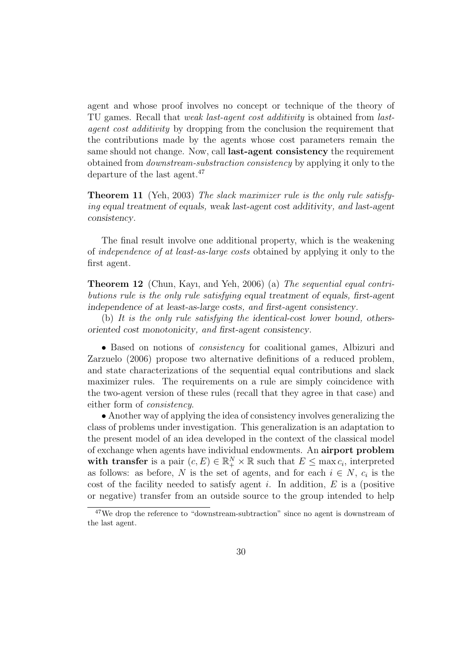agent and whose proof involves no concept or technique of the theory of TU games. Recall that weak last-agent cost additivity is obtained from lastagent cost additivity by dropping from the conclusion the requirement that the contributions made by the agents whose cost parameters remain the same should not change. Now, call last-agent consistency the requirement obtained from downstream-substraction consistency by applying it only to the departure of the last agent.<sup>47</sup>

Theorem 11 (Yeh, 2003) The slack maximizer rule is the only rule satisfying equal treatment of equals, weak last-agent cost additivity, and last-agent consistency.

The final result involve one additional property, which is the weakening of independence of at least-as-large costs obtained by applying it only to the first agent.

Theorem 12 (Chun, Kayı, and Yeh, 2006) (a) The sequential equal contributions rule is the only rule satisfying equal treatment of equals, first-agent independence of at least-as-large costs, and first-agent consistency.

(b) It is the only rule satisfying the identical-cost lower bound, othersoriented cost monotonicity, and first-agent consistency.

• Based on notions of consistency for coalitional games, Albizuri and Zarzuelo (2006) propose two alternative definitions of a reduced problem, and state characterizations of the sequential equal contributions and slack maximizer rules. The requirements on a rule are simply coincidence with the two-agent version of these rules (recall that they agree in that case) and either form of consistency.

• Another way of applying the idea of consistency involves generalizing the class of problems under investigation. This generalization is an adaptation to the present model of an idea developed in the context of the classical model of exchange when agents have individual endowments. An airport problem with transfer is a pair  $(c, E) \in \mathbb{R}_+^N \times \mathbb{R}$  such that  $E \le \max c_i$ , interpreted as follows: as before, N is the set of agents, and for each  $i \in N$ ,  $c_i$  is the cost of the facility needed to satisfy agent i. In addition,  $E$  is a (positive or negative) transfer from an outside source to the group intended to help

<sup>47</sup>We drop the reference to "downstream-subtraction" since no agent is downstream of the last agent.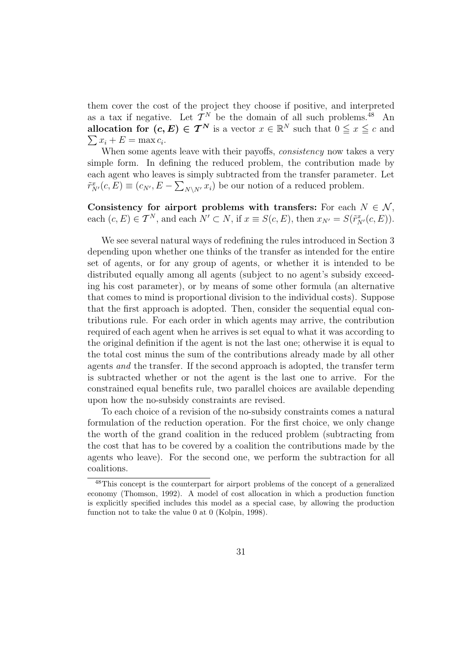them cover the cost of the project they choose if positive, and interpreted as a tax if negative. Let  $\mathcal{T}^N$  be the domain of all such problems.<sup>48</sup> An allocation for  $(c, E) \in \mathcal{T}^N$  is a vector  $x \in \mathbb{R}^N$  such that  $0 \leq x \leq c$  and  $x_i + E = \max c_i$ .

When some agents leave with their payoffs, *consistency* now takes a very simple form. In defining the reduced problem, the contribution made by each agent who leaves is simply subtracted from the transfer parameter. Let  $\tilde{r}_{N'}^x(c, E) \equiv (c_{N'}, E - \sum_{N \setminus N'} x_i)$  be our notion of a reduced problem.

Consistency for airport problems with transfers: For each  $N \in \mathcal{N}$ , each  $(c, E) \in \mathcal{T}^N$ , and each  $N' \subset N$ , if  $x \equiv S(c, E)$ , then  $x_{N'} = S(\tilde{r}_{N'}^x(c, E))$ .

We see several natural ways of redefining the rules introduced in Section 3 depending upon whether one thinks of the transfer as intended for the entire set of agents, or for any group of agents, or whether it is intended to be distributed equally among all agents (subject to no agent's subsidy exceeding his cost parameter), or by means of some other formula (an alternative that comes to mind is proportional division to the individual costs). Suppose that the first approach is adopted. Then, consider the sequential equal contributions rule. For each order in which agents may arrive, the contribution required of each agent when he arrives is set equal to what it was according to the original definition if the agent is not the last one; otherwise it is equal to the total cost minus the sum of the contributions already made by all other agents and the transfer. If the second approach is adopted, the transfer term is subtracted whether or not the agent is the last one to arrive. For the constrained equal benefits rule, two parallel choices are available depending upon how the no-subsidy constraints are revised.

To each choice of a revision of the no-subsidy constraints comes a natural formulation of the reduction operation. For the first choice, we only change the worth of the grand coalition in the reduced problem (subtracting from the cost that has to be covered by a coalition the contributions made by the agents who leave). For the second one, we perform the subtraction for all coalitions.

<sup>&</sup>lt;sup>48</sup>This concept is the counterpart for airport problems of the concept of a generalized economy (Thomson, 1992). A model of cost allocation in which a production function is explicitly specified includes this model as a special case, by allowing the production function not to take the value 0 at 0 (Kolpin, 1998).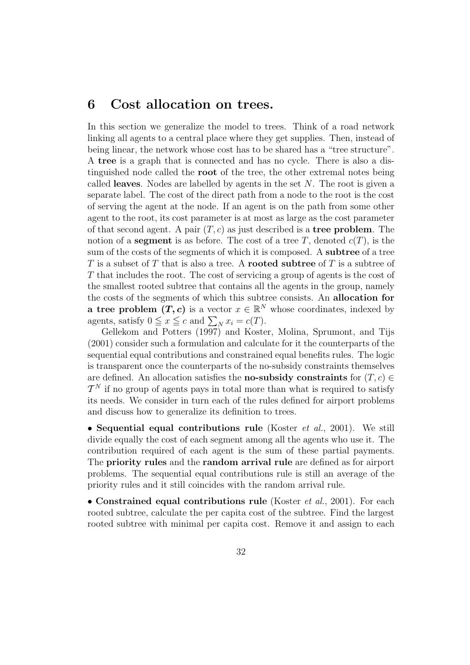### 6 Cost allocation on trees.

In this section we generalize the model to trees. Think of a road network linking all agents to a central place where they get supplies. Then, instead of being linear, the network whose cost has to be shared has a "tree structure". A tree is a graph that is connected and has no cycle. There is also a distinguished node called the root of the tree, the other extremal notes being called leaves. Nodes are labelled by agents in the set  $N$ . The root is given a separate label. The cost of the direct path from a node to the root is the cost of serving the agent at the node. If an agent is on the path from some other agent to the root, its cost parameter is at most as large as the cost parameter of that second agent. A pair  $(T, c)$  as just described is a **tree problem**. The notion of a **segment** is as before. The cost of a tree T, denoted  $c(T)$ , is the sum of the costs of the segments of which it is composed. A **subtree** of a tree T is a subset of T that is also a tree. A **rooted subtree** of T is a subtree of T that includes the root. The cost of servicing a group of agents is the cost of the smallest rooted subtree that contains all the agents in the group, namely the costs of the segments of which this subtree consists. An allocation for **a tree problem**  $(T, c)$  is a vector  $x \in \mathbb{R}^N$  whose coordinates, indexed by **a** tree problem  $(T, c)$  is a vector  $x \in \mathbb{R}$ <br>agents, satisfy  $0 \le x \le c$  and  $\sum_N x_i = c(T)$ .

Gellekom and Potters (1997) and Koster, Molina, Sprumont, and Tijs (2001) consider such a formulation and calculate for it the counterparts of the sequential equal contributions and constrained equal benefits rules. The logic is transparent once the counterparts of the no-subsidy constraints themselves are defined. An allocation satisfies the **no-subsidy constraints** for  $(T, c) \in$  $\mathcal{T}^N$  if no group of agents pays in total more than what is required to satisfy its needs. We consider in turn each of the rules defined for airport problems and discuss how to generalize its definition to trees.

• Sequential equal contributions rule (Koster *et al.*, 2001). We still divide equally the cost of each segment among all the agents who use it. The contribution required of each agent is the sum of these partial payments. The priority rules and the random arrival rule are defined as for airport problems. The sequential equal contributions rule is still an average of the priority rules and it still coincides with the random arrival rule.

• Constrained equal contributions rule (Koster *et al.*, 2001). For each rooted subtree, calculate the per capita cost of the subtree. Find the largest rooted subtree with minimal per capita cost. Remove it and assign to each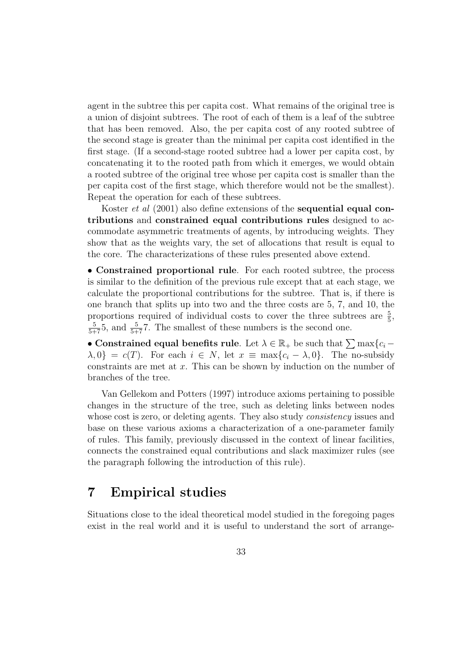agent in the subtree this per capita cost. What remains of the original tree is a union of disjoint subtrees. The root of each of them is a leaf of the subtree that has been removed. Also, the per capita cost of any rooted subtree of the second stage is greater than the minimal per capita cost identified in the first stage. (If a second-stage rooted subtree had a lower per capita cost, by concatenating it to the rooted path from which it emerges, we would obtain a rooted subtree of the original tree whose per capita cost is smaller than the per capita cost of the first stage, which therefore would not be the smallest). Repeat the operation for each of these subtrees.

Koster *et al* (2001) also define extensions of the **sequential equal con**tributions and constrained equal contributions rules designed to accommodate asymmetric treatments of agents, by introducing weights. They show that as the weights vary, the set of allocations that result is equal to the core. The characterizations of these rules presented above extend.

• Constrained proportional rule. For each rooted subtree, the process is similar to the definition of the previous rule except that at each stage, we calculate the proportional contributions for the subtree. That is, if there is one branch that splits up into two and the three costs are 5, 7, and 10, the proportions required of individual costs to cover the three subtrees are  $\frac{5}{5}$ ,  $\frac{5}{5+7}$ 5, and  $\frac{5}{5+7}$ 7. The smallest of these numbers is the second one.

• Constrained equal benefits rule. Let  $\lambda \in \mathbb{R}_+$  be such that  $\sum \max\{c_i - \lambda\}$  $\lambda, 0$ } = c(T). For each  $i \in N$ , let  $x \equiv \max\{c_i - \lambda, 0\}$ . The no-subsidy constraints are met at  $x$ . This can be shown by induction on the number of branches of the tree.

Van Gellekom and Potters (1997) introduce axioms pertaining to possible changes in the structure of the tree, such as deleting links between nodes whose cost is zero, or deleting agents. They also study *consistency* issues and base on these various axioms a characterization of a one-parameter family of rules. This family, previously discussed in the context of linear facilities, connects the constrained equal contributions and slack maximizer rules (see the paragraph following the introduction of this rule).

## 7 Empirical studies

Situations close to the ideal theoretical model studied in the foregoing pages exist in the real world and it is useful to understand the sort of arrange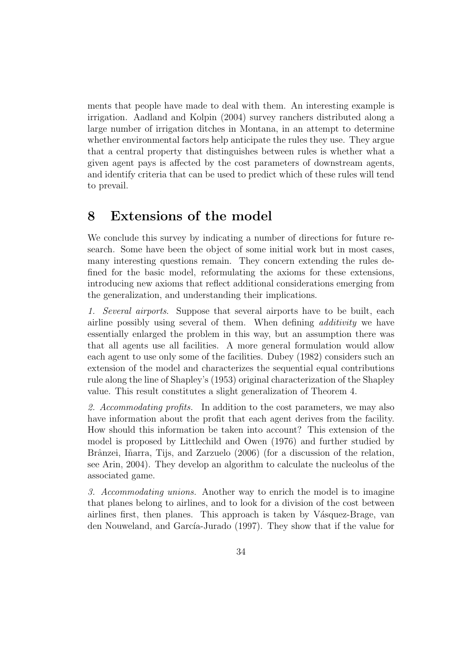ments that people have made to deal with them. An interesting example is irrigation. Aadland and Kolpin (2004) survey ranchers distributed along a large number of irrigation ditches in Montana, in an attempt to determine whether environmental factors help anticipate the rules they use. They argue that a central property that distinguishes between rules is whether what a given agent pays is affected by the cost parameters of downstream agents, and identify criteria that can be used to predict which of these rules will tend to prevail.

## 8 Extensions of the model

We conclude this survey by indicating a number of directions for future research. Some have been the object of some initial work but in most cases, many interesting questions remain. They concern extending the rules defined for the basic model, reformulating the axioms for these extensions, introducing new axioms that reflect additional considerations emerging from the generalization, and understanding their implications.

1. Several airports. Suppose that several airports have to be built, each airline possibly using several of them. When defining additivity we have essentially enlarged the problem in this way, but an assumption there was that all agents use all facilities. A more general formulation would allow each agent to use only some of the facilities. Dubey (1982) considers such an extension of the model and characterizes the sequential equal contributions rule along the line of Shapley's (1953) original characterization of the Shapley value. This result constitutes a slight generalization of Theorem 4.

2. Accommodating profits. In addition to the cost parameters, we may also have information about the profit that each agent derives from the facility. How should this information be taken into account? This extension of the model is proposed by Littlechild and Owen (1976) and further studied by Brânzei, Iñarra, Tijs, and Zarzuelo (2006) (for a discussion of the relation, see Arin, 2004). They develop an algorithm to calculate the nucleolus of the associated game.

3. Accommodating unions. Another way to enrich the model is to imagine that planes belong to airlines, and to look for a division of the cost between airlines first, then planes. This approach is taken by Vásquez-Brage, van den Nouweland, and García-Jurado (1997). They show that if the value for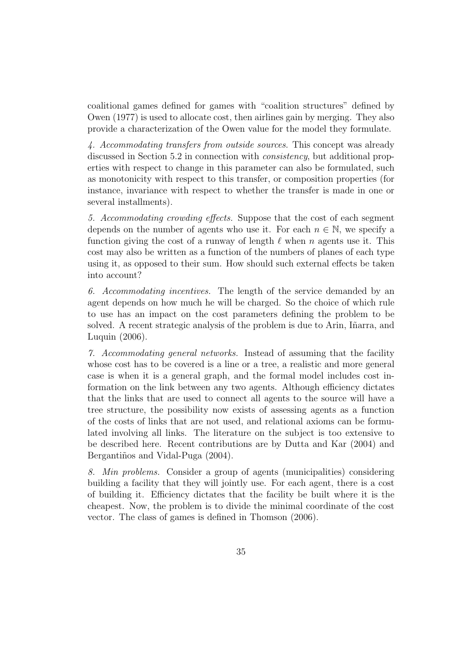coalitional games defined for games with "coalition structures" defined by Owen (1977) is used to allocate cost, then airlines gain by merging. They also provide a characterization of the Owen value for the model they formulate.

4. Accommodating transfers from outside sources. This concept was already discussed in Section 5.2 in connection with consistency, but additional properties with respect to change in this parameter can also be formulated, such as monotonicity with respect to this transfer, or composition properties (for instance, invariance with respect to whether the transfer is made in one or several installments).

5. Accommodating crowding effects. Suppose that the cost of each segment depends on the number of agents who use it. For each  $n \in \mathbb{N}$ , we specify a function giving the cost of a runway of length  $\ell$  when n agents use it. This cost may also be written as a function of the numbers of planes of each type using it, as opposed to their sum. How should such external effects be taken into account?

6. Accommodating incentives. The length of the service demanded by an agent depends on how much he will be charged. So the choice of which rule to use has an impact on the cost parameters defining the problem to be solved. A recent strategic analysis of the problem is due to Arin, Iñarra, and Luquin (2006).

7. Accommodating general networks. Instead of assuming that the facility whose cost has to be covered is a line or a tree, a realistic and more general case is when it is a general graph, and the formal model includes cost information on the link between any two agents. Although efficiency dictates that the links that are used to connect all agents to the source will have a tree structure, the possibility now exists of assessing agents as a function of the costs of links that are not used, and relational axioms can be formulated involving all links. The literature on the subject is too extensive to be described here. Recent contributions are by Dutta and Kar (2004) and Bergantiños and Vidal-Puga (2004).

8. Min problems. Consider a group of agents (municipalities) considering building a facility that they will jointly use. For each agent, there is a cost of building it. Efficiency dictates that the facility be built where it is the cheapest. Now, the problem is to divide the minimal coordinate of the cost vector. The class of games is defined in Thomson (2006).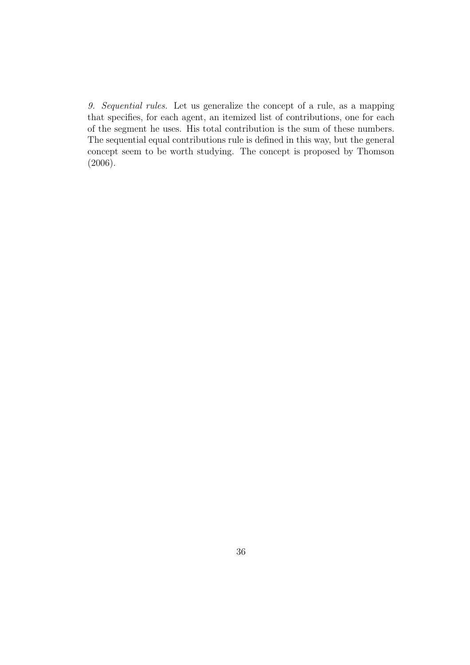9. Sequential rules. Let us generalize the concept of a rule, as a mapping that specifies, for each agent, an itemized list of contributions, one for each of the segment he uses. His total contribution is the sum of these numbers. The sequential equal contributions rule is defined in this way, but the general concept seem to be worth studying. The concept is proposed by Thomson (2006).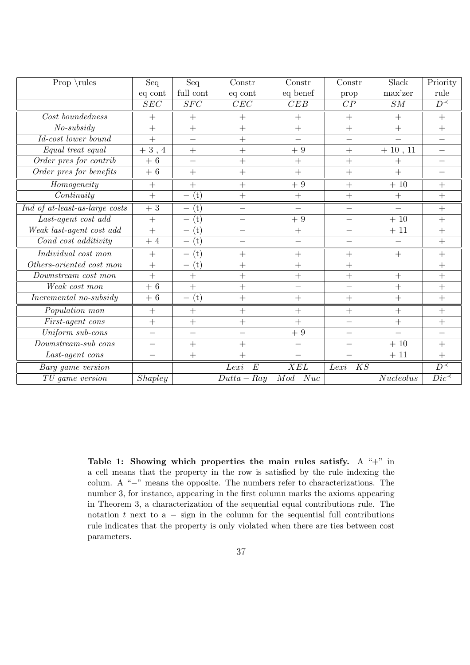| Prop $\lvert$ rules              | Seq                      | Seq                                                    | Constr                   | Constr                   | Constr                   | Slack       | Priority                 |
|----------------------------------|--------------------------|--------------------------------------------------------|--------------------------|--------------------------|--------------------------|-------------|--------------------------|
|                                  | eq cont                  | full cont                                              | eq cont                  | eq benef                 | prop                     | max'zer     | rule                     |
|                                  | $\overline{SEC}$         | $\overline{SFC}$                                       | $\overline{CEC}$         | CEB                      | $\overline{CP}$          | ${\cal SM}$ | $\overline{D^{\prec}}$   |
| Cost boundedness                 | $+$                      | $+$                                                    | $+$                      | $+$                      | $+$                      | $+$         | $+$                      |
| $No-subsidy$                     | $+$                      | $^{+}$                                                 | $\ddag$                  | $+$                      | $+$                      | $+$         | $+$                      |
| Id-cost lower bound              | $\ddag$                  |                                                        | $\ddot{}$                |                          |                          |             |                          |
| Equal treat equal                | 3, 4<br>$^{+}$           | $\overline{+}$                                         | $+$                      | $+\ 9$                   | $+$                      | $+10, 11$   | $\overline{\phantom{0}}$ |
| Order pres for contrib           | 6<br>$+$                 | $\overline{\phantom{0}}$                               | $\ddot{}$                | $+$                      | $+$                      | $+$         | $\qquad \qquad -$        |
| Order pres for benefits          | $+6$                     | $+$                                                    | $\ddot{}$                | $+$                      | $+$                      | $+$         |                          |
| $\label{lem:deq} Homogeneity$    | $+$                      | $\ddot{}$                                              | $+$                      | $+\ 9$                   | $+$                      | $+10$       | $+$                      |
| Continuity                       | $+$                      | (t)                                                    | $+$                      | $^{+}$                   |                          | $^{+}$      | $\overline{+}$           |
| Ind of at-least-as-large costs   | $+3$                     | (t)                                                    | $\overline{\phantom{0}}$ |                          |                          |             | $^{+}$                   |
| Last-agent cost add              | $+$                      | $\left( \mathrm{t}\right)$                             |                          | $+9$                     | $\overline{\phantom{0}}$ | $+10$       | $\ddot{}$                |
| Weak last-agent cost add         | $+$                      | (t)<br>$\overline{\phantom{0}}$                        |                          | $+$                      |                          | $+\ 11$     | $^{+}$                   |
| Cond cost additivity             | $+4$                     | (t)<br>$\overline{\phantom{0}}$                        |                          |                          |                          |             | $\overline{+}$           |
| $\overline{Individual} cost$ mon | $+$                      | (t)<br>$\overline{\phantom{0}}$                        | $\ddag$                  | $+$                      | $+$                      | $+$         | $+$                      |
| Others-oriented cost mon         | $+$                      | $\left( \mathrm{t}\right)$<br>$\overline{\phantom{0}}$ | $^{+}$                   | $+$                      | $^{+}$                   |             | $+$                      |
| Downstream cost mon              | $^{+}$                   | $+$                                                    | $\ddot{}$                | $+$                      | $+$                      | $+$         | $+$                      |
| Weak cost mon                    | $+6$                     | $\ddot{}$                                              | $\ddot{}$                | $\overline{\phantom{0}}$ |                          | $\ddot{}$   | $^{+}$                   |
| Incremental no-subsidy           | $+6$                     | (t)                                                    | $+$                      | $^{+}$                   |                          | $+$         | $^{+}$                   |
| Population mon                   | $+$                      | $+$                                                    | $\ddot{}$                | $+$                      | $+$                      | $+$         | $+$                      |
| First-agent cons                 | $+$                      | $\overline{+}$                                         | $+$                      | $+$                      |                          | $+$         | $+$                      |
| Uniform sub-cons                 | $\overline{\phantom{0}}$ |                                                        | $\overline{\phantom{0}}$ | $+9$                     |                          |             |                          |
| Downstream-sub cons              | $\qquad \qquad -$        | $\overline{+}$                                         | $\ddag$                  | $\qquad \qquad -$        |                          | $+10$       | $^{+}$                   |
| Last-agent cons                  | $\overline{\phantom{0}}$ | $+$                                                    | $\ddot{}$                | $\qquad \qquad$          |                          | $+11$       | $+$                      |
| Barg game version                |                          |                                                        | Lexi<br>$\boldsymbol{E}$ | XEL                      | KS<br>Lexi               |             | $\overline{D^{\prec}}$   |
| TU game version                  | Shapley                  |                                                        | $Dutta-Ray$              | Nuc<br>Mod               |                          | Nucleolus   | $\overline{Dic}$         |

Table 1: Showing which properties the main rules satisfy. A "+" in a cell means that the property in the row is satisfied by the rule indexing the colum. A "−" means the opposite. The numbers refer to characterizations. The number 3, for instance, appearing in the first column marks the axioms appearing in Theorem 3, a characterization of the sequential equal contributions rule. The notation t next to  $a - sign$  in the column for the sequential full contributions rule indicates that the property is only violated when there are ties between cost parameters.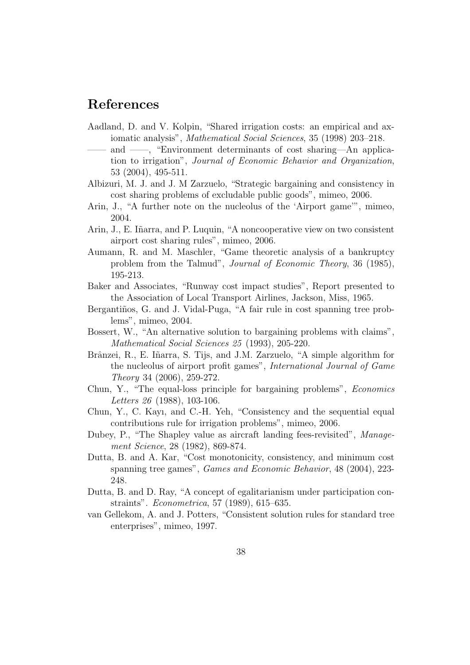## References

- Aadland, D. and V. Kolpin, "Shared irrigation costs: an empirical and axiomatic analysis", Mathematical Social Sciences, 35 (1998) 203–218.
- and ——, "Environment determinants of cost sharing—An application to irrigation", Journal of Economic Behavior and Organization, 53 (2004), 495-511.
- Albizuri, M. J. and J. M Zarzuelo, "Strategic bargaining and consistency in cost sharing problems of excludable public goods", mimeo, 2006.
- Arin, J., "A further note on the nucleolus of the 'Airport game'", mimeo, 2004.
- Arin, J., E. Iñarra, and P. Luquin, "A noncooperative view on two consistent airport cost sharing rules", mimeo, 2006.
- Aumann, R. and M. Maschler, "Game theoretic analysis of a bankruptcy problem from the Talmud", Journal of Economic Theory, 36 (1985), 195-213.
- Baker and Associates, "Runway cost impact studies", Report presented to the Association of Local Transport Airlines, Jackson, Miss, 1965.
- Bergantiños, G. and J. Vidal-Puga, "A fair rule in cost spanning tree problems", mimeo, 2004.
- Bossert, W., "An alternative solution to bargaining problems with claims", Mathematical Social Sciences 25 (1993), 205-220.
- Brânzei, R., E. Iñarra, S. Tijs, and J.M. Zarzuelo, "A simple algorithm for the nucleolus of airport profit games", International Journal of Game Theory 34 (2006), 259-272.
- Chun, Y., "The equal-loss principle for bargaining problems", Economics Letters 26 (1988), 103-106.
- Chun, Y., C. Kayı, and C.-H. Yeh, "Consistency and the sequential equal contributions rule for irrigation problems", mimeo, 2006.
- Dubey, P., "The Shapley value as aircraft landing fees-revisited", Management Science, 28 (1982), 869-874.
- Dutta, B. and A. Kar, "Cost monotonicity, consistency, and minimum cost spanning tree games", Games and Economic Behavior, 48 (2004), 223- 248.
- Dutta, B. and D. Ray, "A concept of egalitarianism under participation constraints". Econometrica, 57 (1989), 615–635.
- van Gellekom, A. and J. Potters, "Consistent solution rules for standard tree enterprises", mimeo, 1997.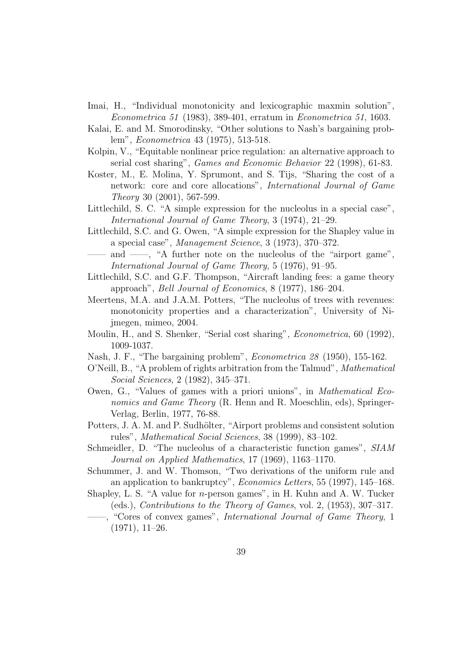- Imai, H., "Individual monotonicity and lexicographic maxmin solution", Econometrica 51 (1983), 389-401, erratum in Econometrica 51, 1603.
- Kalai, E. and M. Smorodinsky, "Other solutions to Nash's bargaining problem", Econometrica 43 (1975), 513-518.
- Kolpin, V., "Equitable nonlinear price regulation: an alternative approach to serial cost sharing", Games and Economic Behavior 22 (1998), 61-83.
- Koster, M., E. Molina, Y. Sprumont, and S. Tijs, "Sharing the cost of a network: core and core allocations", International Journal of Game Theory 30 (2001), 567-599.
- Littlechild, S. C. "A simple expression for the nucleolus in a special case", International Journal of Game Theory, 3 (1974), 21–29.
- Littlechild, S.C. and G. Owen, "A simple expression for the Shapley value in a special case", Management Science, 3 (1973), 370–372.
- and  $\frac{m}{n}$ , "A further note on the nucleolus of the "airport game", International Journal of Game Theory, 5 (1976), 91–95.
- Littlechild, S.C. and G.F. Thompson, "Aircraft landing fees: a game theory approach", Bell Journal of Economics, 8 (1977), 186–204.
- Meertens, M.A. and J.A.M. Potters, "The nucleolus of trees with revenues: monotonicity properties and a characterization", University of Nijmegen, mimeo, 2004.
- Moulin, H., and S. Shenker, "Serial cost sharing", *Econometrica*, 60 (1992), 1009-1037.
- Nash, J. F., "The bargaining problem", Econometrica 28 (1950), 155-162.
- O'Neill, B., "A problem of rights arbitration from the Talmud", Mathematical Social Sciences, 2 (1982), 345–371.
- Owen, G., "Values of games with a priori unions", in Mathematical Economics and Game Theory (R. Henn and R. Moeschlin, eds), Springer-Verlag, Berlin, 1977, 76-88.
- Potters, J. A. M. and P. Sudhölter, "Airport problems and consistent solution rules", Mathematical Social Sciences, 38 (1999), 83–102.
- Schmeidler, D. "The nucleolus of a characteristic function games", SIAM Journal on Applied Mathematics, 17 (1969), 1163–1170.
- Schummer, J. and W. Thomson, "Two derivations of the uniform rule and an application to bankruptcy", Economics Letters, 55 (1997), 145–168.
- Shapley, L. S. "A value for n-person games", in H. Kuhn and A. W. Tucker (eds.), Contributions to the Theory of Games, vol. 2, (1953), 307–317.
- -, "Cores of convex games", *International Journal of Game Theory*, 1 (1971), 11–26.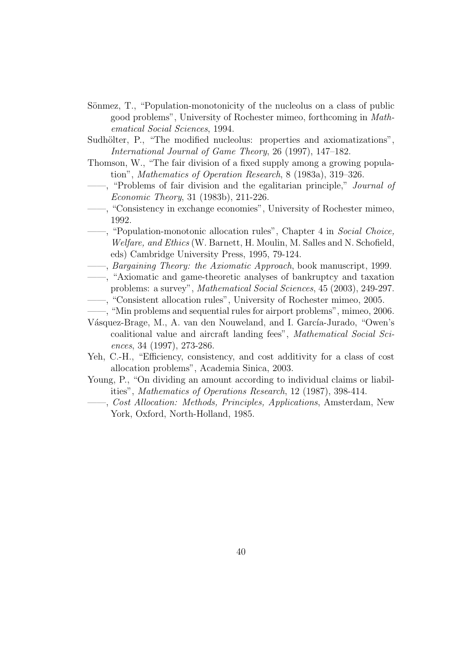- Sönmez, T., "Population-monotonicity of the nucleolus on a class of public good problems", University of Rochester mimeo, forthcoming in Mathematical Social Sciences, 1994.
- Sudhölter, P., "The modified nucleolus: properties and axiomatizations", International Journal of Game Theory, 26 (1997), 147–182.
- Thomson, W., "The fair division of a fixed supply among a growing population", Mathematics of Operation Research, 8 (1983a), 319–326.
- ——, "Problems of fair division and the egalitarian principle," Journal of Economic Theory, 31 (1983b), 211-226.
- ——, "Consistency in exchange economies", University of Rochester mimeo, 1992.
- ——, "Population-monotonic allocation rules", Chapter 4 in Social Choice, Welfare, and Ethics (W. Barnett, H. Moulin, M. Salles and N. Schofield, eds) Cambridge University Press, 1995, 79-124.
- $-$ , Bargaining Theory: the Axiomatic Approach, book manuscript, 1999.
- ——, "Axiomatic and game-theoretic analyses of bankruptcy and taxation problems: a survey", Mathematical Social Sciences, 45 (2003), 249-297.
- ——, "Consistent allocation rules", University of Rochester mimeo, 2005.
- ——, "Min problems and sequential rules for airport problems", mimeo, 2006.
- Vásquez-Brage, M., A. van den Nouweland, and I. García-Jurado, "Owen's coalitional value and aircraft landing fees", Mathematical Social Sciences, 34 (1997), 273-286.
- Yeh, C.-H., "Efficiency, consistency, and cost additivity for a class of cost allocation problems", Academia Sinica, 2003.
- Young, P., "On dividing an amount according to individual claims or liabilities", Mathematics of Operations Research, 12 (1987), 398-414.
- ——, Cost Allocation: Methods, Principles, Applications, Amsterdam, New York, Oxford, North-Holland, 1985.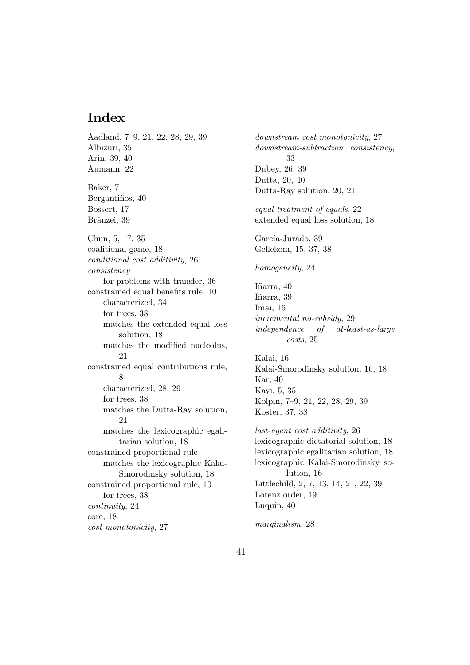## Index

Aadland, 7–9, 21, 22, 28, 29, 39 Albizuri, 35 Arin, 39, 40 Aumann, 22 Baker, 7 Bergantiños, 40 Bossert, 17 Brânzei, 39 Chun, 5, 17, 35 coalitional game, 18 conditional cost additivity, 26 consistency for problems with transfer, 36 constrained equal benefits rule, 10 characterized, 34 for trees, 38 matches the extended equal loss solution, 18 matches the modified nucleolus, 21 constrained equal contributions rule, 8 characterized, 28, 29 for trees, 38 matches the Dutta-Ray solution, 21 matches the lexicographic egalitarian solution, 18 constrained proportional rule matches the lexicographic Kalai-Smorodinsky solution, 18 constrained proportional rule, 10 for trees, 38 continuity, 24 core, 18 cost monotonicity, 27

downstream cost monotonicity, 27 downstream-subtraction consistency, 33 Dubey, 26, 39 Dutta, 20, 40 Dutta-Ray solution, 20, 21 equal treatment of equals, 22 extended equal loss solution, 18 García-Jurado, 39 Gellekom, 15, 37, 38 homogeneity, 24 Iñarra, 40 Iñarra, 39 Imai, 16 incremental no-subsidy, 29 independence of at-least-as-large costs, 25 Kalai, 16 Kalai-Smorodinsky solution, 16, 18 Kar, 40 Kayı, 5, 35 Kolpin, 7–9, 21, 22, 28, 29, 39 Koster, 37, 38 last-agent cost additivity, 26 lexicographic dictatorial solution, 18 lexicographic egalitarian solution, 18 lexicographic Kalai-Smorodinsky solution, 16 Littlechild, 2, 7, 13, 14, 21, 22, 39 Lorenz order, 19 Luquin, 40 marginalism, 28